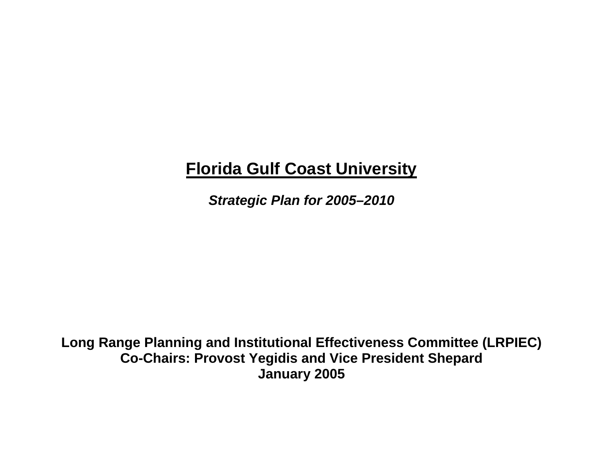# **Florida Gulf Coast University**

*Strategic Plan for 2005–2010* 

**Long Range Planning and Institutional Effectiveness Committee (LRPIEC) Co-Chairs: Provost Yegidis and Vice President Shepard January 2005**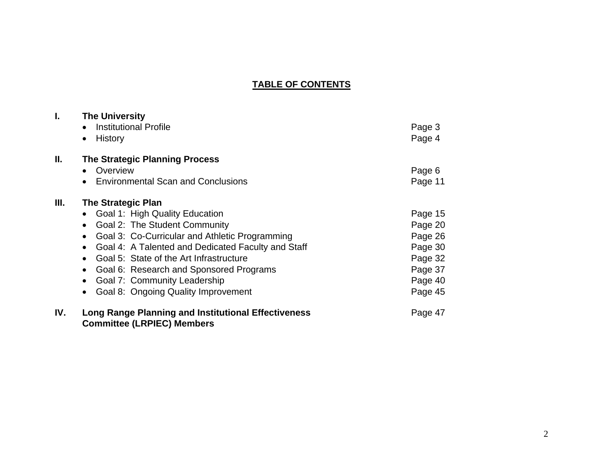#### **TABLE OF CONTENTS**

|      | <b>The University</b><br><b>Institutional Profile</b><br>History<br>$\bullet$                                                                                                                                                                                                                                                                                                  | Page 3<br>Page 4                                                                     |
|------|--------------------------------------------------------------------------------------------------------------------------------------------------------------------------------------------------------------------------------------------------------------------------------------------------------------------------------------------------------------------------------|--------------------------------------------------------------------------------------|
| II.  | <b>The Strategic Planning Process</b><br>Overview<br>$\bullet$                                                                                                                                                                                                                                                                                                                 | Page 6                                                                               |
|      | • Environmental Scan and Conclusions                                                                                                                                                                                                                                                                                                                                           | Page 11                                                                              |
| III. | <b>The Strategic Plan</b><br>Goal 1: High Quality Education<br>Goal 2: The Student Community<br>Goal 3: Co-Curricular and Athletic Programming<br>$\bullet$<br>Goal 4: A Talented and Dedicated Faculty and Staff<br>Goal 5: State of the Art Infrastructure<br>Goal 6: Research and Sponsored Programs<br>Goal 7: Community Leadership<br>Goal 8: Ongoing Quality Improvement | Page 15<br>Page 20<br>Page 26<br>Page 30<br>Page 32<br>Page 37<br>Page 40<br>Page 45 |
| IV.  | <b>Long Range Planning and Institutional Effectiveness</b><br><b>Committee (LRPIEC) Members</b>                                                                                                                                                                                                                                                                                | Page 47                                                                              |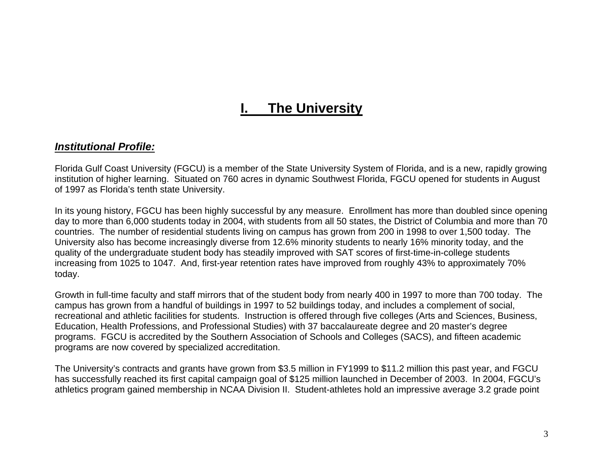# **I. The University**

#### *Institutional Profile:*

Florida Gulf Coast University (FGCU) is a member of the State University System of Florida, and is a new, rapidly growing institution of higher learning. Situated on 760 acres in dynamic Southwest Florida, FGCU opened for students in August of 1997 as Florida's tenth state University.

In its young history, FGCU has been highly successful by any measure. Enrollment has more than doubled since opening day to more than 6,000 students today in 2004, with students from all 50 states, the District of Columbia and more than 70 countries. The number of residential students living on campus has grown from 200 in 1998 to over 1,500 today. The University also has become increasingly diverse from 12.6% minority students to nearly 16% minority today, and the quality of the undergraduate student body has steadily improved with SAT scores of first-time-in-college students increasing from 1025 to 1047. And, first-year retention rates have improved from roughly 43% to approximately 70% today.

Growth in full-time faculty and staff mirrors that of the student body from nearly 400 in 1997 to more than 700 today. The campus has grown from a handful of buildings in 1997 to 52 buildings today, and includes a complement of social, recreational and athletic facilities for students. Instruction is offered through five colleges (Arts and Sciences, Business, Education, Health Professions, and Professional Studies) with 37 baccalaureate degree and 20 master's degree programs. FGCU is accredited by the Southern Association of Schools and Colleges (SACS), and fifteen academic programs are now covered by specialized accreditation.

The University's contracts and grants have grown from \$3.5 million in FY1999 to \$11.2 million this past year, and FGCU has successfully reached its first capital campaign goal of \$125 million launched in December of 2003. In 2004, FGCU's athletics program gained membership in NCAA Division II. Student-athletes hold an impressive average 3.2 grade point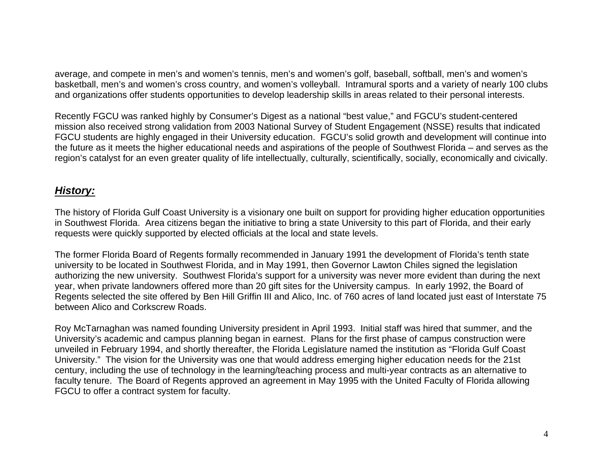average, and compete in men's and women's tennis, men's and women's golf, baseball, softball, men's and women's basketball, men's and women's cross country, and women's volleyball. Intramural sports and a variety of nearly 100 clubs and organizations offer students opportunities to develop leadership skills in areas related to their personal interests.

Recently FGCU was ranked highly by Consumer's Digest as a national "best value," and FGCU's student-centered mission also received strong validation from 2003 National Survey of Student Engagement (NSSE) results that indicated FGCU students are highly engaged in their University education. FGCU's solid growth and development will continue into the future as it meets the higher educational needs and aspirations of the people of Southwest Florida – and serves as the region's catalyst for an even greater quality of life intellectually, culturally, scientifically, socially, economically and civically.

#### *History:*

The history of Florida Gulf Coast University is a visionary one built on support for providing higher education opportunities in Southwest Florida. Area citizens began the initiative to bring a state University to this part of Florida, and their early requests were quickly supported by elected officials at the local and state levels.

The former Florida Board of Regents formally recommended in January 1991 the development of Florida's tenth state university to be located in Southwest Florida, and in May 1991, then Governor Lawton Chiles signed the legislation authorizing the new university. Southwest Florida's support for a university was never more evident than during the next year, when private landowners offered more than 20 gift sites for the University campus. In early 1992, the Board of Regents selected the site offered by Ben Hill Griffin III and Alico, Inc. of 760 acres of land located just east of Interstate 75 between Alico and Corkscrew Roads.

Roy McTarnaghan was named founding University president in April 1993. Initial staff was hired that summer, and the University's academic and campus planning began in earnest. Plans for the first phase of campus construction were unveiled in February 1994, and shortly thereafter, the Florida Legislature named the institution as "Florida Gulf Coast University." The vision for the University was one that would address emerging higher education needs for the 21st century, including the use of technology in the learning/teaching process and multi-year contracts as an alternative to faculty tenure. The Board of Regents approved an agreement in May 1995 with the United Faculty of Florida allowing FGCU to offer a contract system for faculty.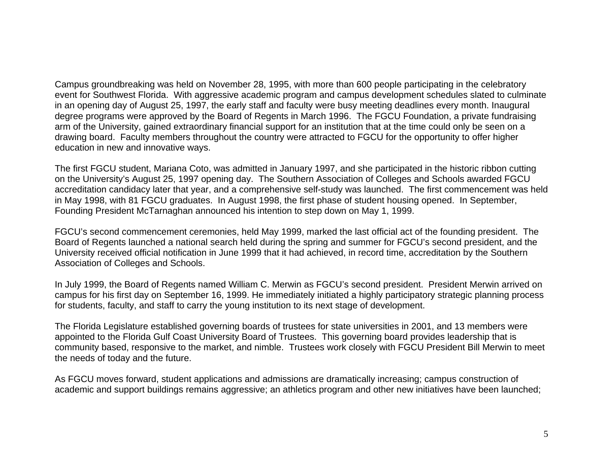Campus groundbreaking was held on November 28, 1995, with more than 600 people participating in the celebratory event for Southwest Florida. With aggressive academic program and campus development schedules slated to culminate in an opening day of August 25, 1997, the early staff and faculty were busy meeting deadlines every month. Inaugural degree programs were approved by the Board of Regents in March 1996. The FGCU Foundation, a private fundraising arm of the University, gained extraordinary financial support for an institution that at the time could only be seen on a drawing board. Faculty members throughout the country were attracted to FGCU for the opportunity to offer higher education in new and innovative ways.

The first FGCU student, Mariana Coto, was admitted in January 1997, and she participated in the historic ribbon cutting on the University's August 25, 1997 opening day. The Southern Association of Colleges and Schools awarded FGCU accreditation candidacy later that year, and a comprehensive self-study was launched. The first commencement was held in May 1998, with 81 FGCU graduates. In August 1998, the first phase of student housing opened. In September, Founding President McTarnaghan announced his intention to step down on May 1, 1999.

FGCU's second commencement ceremonies, held May 1999, marked the last official act of the founding president. The Board of Regents launched a national search held during the spring and summer for FGCU's second president, and the University received official notification in June 1999 that it had achieved, in record time, accreditation by the Southern Association of Colleges and Schools.

In July 1999, the Board of Regents named William C. Merwin as FGCU's second president. President Merwin arrived on campus for his first day on September 16, 1999. He immediately initiated a highly participatory strategic planning process for students, faculty, and staff to carry the young institution to its next stage of development.

The Florida Legislature established governing boards of trustees for state universities in 2001, and 13 members were appointed to the Florida Gulf Coast University Board of Trustees. This governing board provides leadership that is community based, responsive to the market, and nimble. Trustees work closely with FGCU President Bill Merwin to meet the needs of today and the future.

As FGCU moves forward, student applications and admissions are dramatically increasing; campus construction of academic and support buildings remains aggressive; an athletics program and other new initiatives have been launched;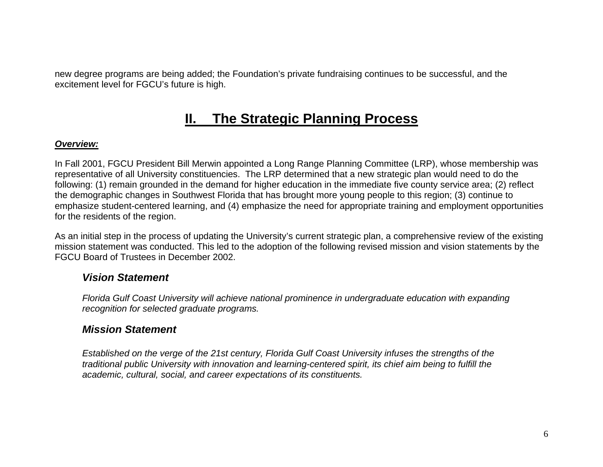new degree programs are being added; the Foundation's private fundraising continues to be successful, and the excitement level for FGCU's future is high.

# **II. The Strategic Planning Process**

#### *Overview:*

In Fall 2001, FGCU President Bill Merwin appointed a Long Range Planning Committee (LRP), whose membership was representative of all University constituencies. The LRP determined that a new strategic plan would need to do the following: (1) remain grounded in the demand for higher education in the immediate five county service area; (2) reflect the demographic changes in Southwest Florida that has brought more young people to this region; (3) continue to emphasize student-centered learning, and (4) emphasize the need for appropriate training and employment opportunities for the residents of the region.

As an initial step in the process of updating the University's current strategic plan, a comprehensive review of the existing mission statement was conducted. This led to the adoption of the following revised mission and vision statements by the FGCU Board of Trustees in December 2002.

## *Vision Statement*

*Florida Gulf Coast University will achieve national prominence in undergraduate education with expanding recognition for selected graduate programs.* 

# *Mission Statement*

*Established on the verge of the 21st century, Florida Gulf Coast University infuses the strengths of the traditional public University with innovation and learning-centered spirit, its chief aim being to fulfill the academic, cultural, social, and career expectations of its constituents.*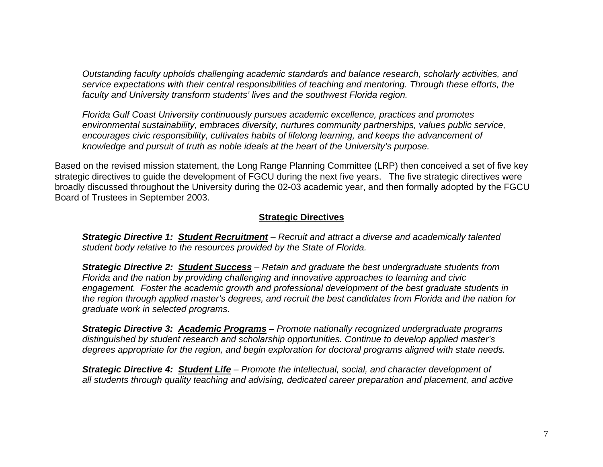*Outstanding faculty upholds challenging academic standards and balance research, scholarly activities, and service expectations with their central responsibilities of teaching and mentoring. Through these efforts, the faculty and University transform students' lives and the southwest Florida region.* 

*Florida Gulf Coast University continuously pursues academic excellence, practices and promotes environmental sustainability, embraces diversity, nurtures community partnerships, values public service, encourages civic responsibility, cultivates habits of lifelong learning, and keeps the advancement of knowledge and pursuit of truth as noble ideals at the heart of the University's purpose.* 

Based on the revised mission statement, the Long Range Planning Committee (LRP) then conceived a set of five key strategic directives to guide the development of FGCU during the next five years. The five strategic directives were broadly discussed throughout the University during the 02-03 academic year, and then formally adopted by the FGCU Board of Trustees in September 2003.

#### **Strategic Directives**

*Strategic Directive 1: Student Recruitment – Recruit and attract a diverse and academically talented student body relative to the resources provided by the State of Florida.* 

*Strategic Directive 2: Student Success – Retain and graduate the best undergraduate students from Florida and the nation by providing challenging and innovative approaches to learning and civic engagement. Foster the academic growth and professional development of the best graduate students in the region through applied master's degrees, and recruit the best candidates from Florida and the nation for graduate work in selected programs.* 

**Strategic Directive 3: Academic Programs** – Promote nationally recognized undergraduate programs *distinguished by student research and scholarship opportunities. Continue to develop applied master's degrees appropriate for the region, and begin exploration for doctoral programs aligned with state needs.* 

**Strategic Directive 4: Student Life** – Promote the intellectual, social, and character development of *all students through quality teaching and advising, dedicated career preparation and placement, and active*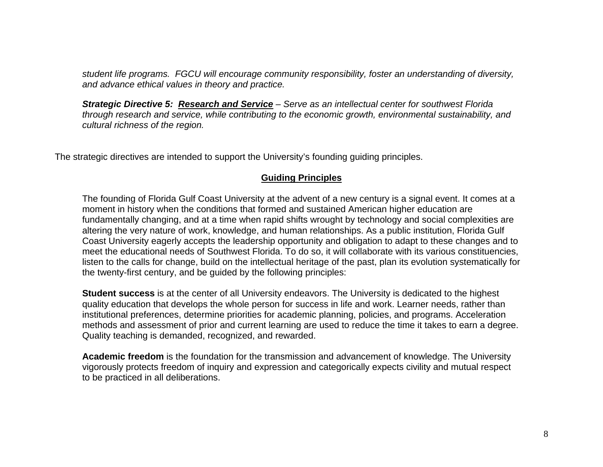*student life programs. FGCU will encourage community responsibility, foster an understanding of diversity, and advance ethical values in theory and practice.* 

**Strategic Directive 5: Research and Service** – Serve as an intellectual center for southwest Florida *through research and service, while contributing to the economic growth, environmental sustainability, and cultural richness of the region.* 

The strategic directives are intended to support the University's founding guiding principles.

#### **Guiding Principles**

The founding of Florida Gulf Coast University at the advent of a new century is a signal event. It comes at a moment in history when the conditions that formed and sustained American higher education are fundamentally changing, and at a time when rapid shifts wrought by technology and social complexities are altering the very nature of work, knowledge, and human relationships. As a public institution, Florida Gulf Coast University eagerly accepts the leadership opportunity and obligation to adapt to these changes and to meet the educational needs of Southwest Florida. To do so, it will collaborate with its various constituencies, listen to the calls for change, build on the intellectual heritage of the past, plan its evolution systematically for the twenty-first century, and be guided by the following principles:

**Student success** is at the center of all University endeavors. The University is dedicated to the highest quality education that develops the whole person for success in life and work. Learner needs, rather than institutional preferences, determine priorities for academic planning, policies, and programs. Acceleration methods and assessment of prior and current learning are used to reduce the time it takes to earn a degree. Quality teaching is demanded, recognized, and rewarded.

**Academic freedom** is the foundation for the transmission and advancement of knowledge. The University vigorously protects freedom of inquiry and expression and categorically expects civility and mutual respect to be practiced in all deliberations.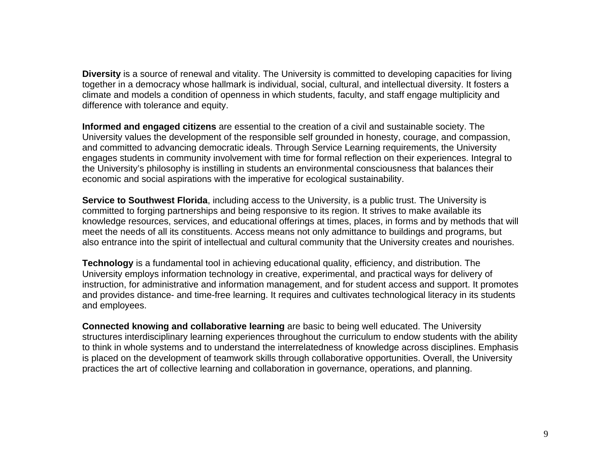**Diversity** is a source of renewal and vitality. The University is committed to developing capacities for living together in a democracy whose hallmark is individual, social, cultural, and intellectual diversity. It fosters a climate and models a condition of openness in which students, faculty, and staff engage multiplicity and difference with tolerance and equity.

**Informed and engaged citizens** are essential to the creation of a civil and sustainable society. The University values the development of the responsible self grounded in honesty, courage, and compassion, and committed to advancing democratic ideals. Through Service Learning requirements, the University engages students in community involvement with time for formal reflection on their experiences. Integral to the University's philosophy is instilling in students an environmental consciousness that balances their economic and social aspirations with the imperative for ecological sustainability.

**Service to Southwest Florida**, including access to the University, is a public trust. The University is committed to forging partnerships and being responsive to its region. It strives to make available its knowledge resources, services, and educational offerings at times, places, in forms and by methods that will meet the needs of all its constituents. Access means not only admittance to buildings and programs, but also entrance into the spirit of intellectual and cultural community that the University creates and nourishes.

**Technology** is a fundamental tool in achieving educational quality, efficiency, and distribution. The University employs information technology in creative, experimental, and practical ways for delivery of instruction, for administrative and information management, and for student access and support. It promotes and provides distance- and time-free learning. It requires and cultivates technological literacy in its students and employees.

**Connected knowing and collaborative learning** are basic to being well educated. The University structures interdisciplinary learning experiences throughout the curriculum to endow students with the ability to think in whole systems and to understand the interrelatedness of knowledge across disciplines. Emphasis is placed on the development of teamwork skills through collaborative opportunities. Overall, the University practices the art of collective learning and collaboration in governance, operations, and planning.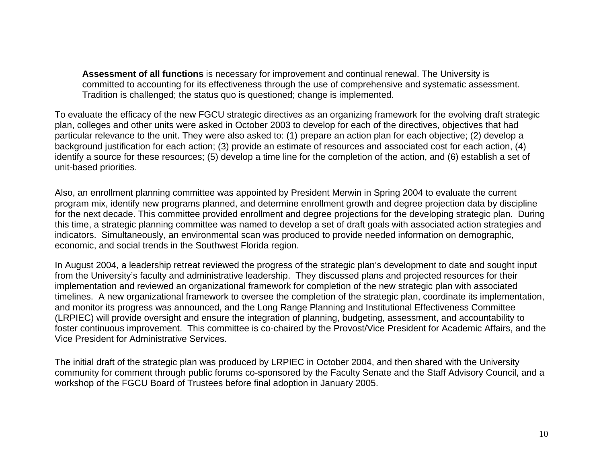**Assessment of all functions** is necessary for improvement and continual renewal. The University is committed to accounting for its effectiveness through the use of comprehensive and systematic assessment. Tradition is challenged; the status quo is questioned; change is implemented.

To evaluate the efficacy of the new FGCU strategic directives as an organizing framework for the evolving draft strategic plan, colleges and other units were asked in October 2003 to develop for each of the directives, objectives that had particular relevance to the unit. They were also asked to: (1) prepare an action plan for each objective; (2) develop a background justification for each action; (3) provide an estimate of resources and associated cost for each action, (4) identify a source for these resources; (5) develop a time line for the completion of the action, and (6) establish a set of unit-based priorities.

Also, an enrollment planning committee was appointed by President Merwin in Spring 2004 to evaluate the current program mix, identify new programs planned, and determine enrollment growth and degree projection data by discipline for the next decade. This committee provided enrollment and degree projections for the developing strategic plan. During this time, a strategic planning committee was named to develop a set of draft goals with associated action strategies and indicators. Simultaneously, an environmental scan was produced to provide needed information on demographic, economic, and social trends in the Southwest Florida region.

In August 2004, a leadership retreat reviewed the progress of the strategic plan's development to date and sought input from the University's faculty and administrative leadership. They discussed plans and projected resources for their implementation and reviewed an organizational framework for completion of the new strategic plan with associated timelines. A new organizational framework to oversee the completion of the strategic plan, coordinate its implementation, and monitor its progress was announced, and the Long Range Planning and Institutional Effectiveness Committee (LRPIEC) will provide oversight and ensure the integration of planning, budgeting, assessment, and accountability to foster continuous improvement. This committee is co-chaired by the Provost/Vice President for Academic Affairs, and the Vice President for Administrative Services.

The initial draft of the strategic plan was produced by LRPIEC in October 2004, and then shared with the University community for comment through public forums co-sponsored by the Faculty Senate and the Staff Advisory Council, and a workshop of the FGCU Board of Trustees before final adoption in January 2005.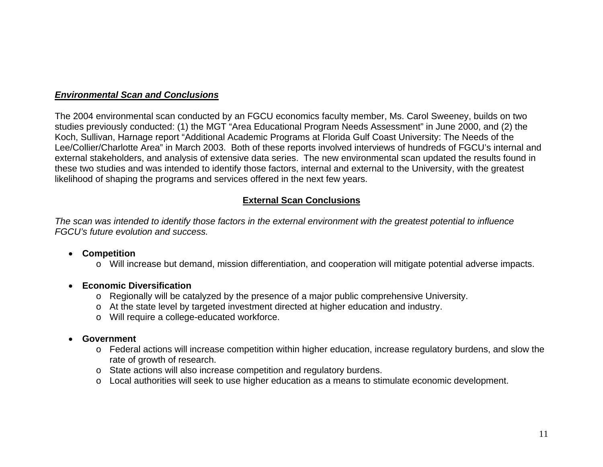#### *Environmental Scan and Conclusions*

The 2004 environmental scan conducted by an FGCU economics faculty member, Ms. Carol Sweeney, builds on two studies previously conducted: (1) the MGT "Area Educational Program Needs Assessment" in June 2000, and (2) the Koch, Sullivan, Harnage report "Additional Academic Programs at Florida Gulf Coast University: The Needs of the Lee/Collier/Charlotte Area" in March 2003. Both of these reports involved interviews of hundreds of FGCU's internal and external stakeholders, and analysis of extensive data series. The new environmental scan updated the results found in these two studies and was intended to identify those factors, internal and external to the University, with the greatest likelihood of shaping the programs and services offered in the next few years.

#### **External Scan Conclusions**

*The scan was intended to identify those factors in the external environment with the greatest potential to influence FGCU's future evolution and success.* 

#### • **Competition**

<sup>o</sup> Will increase but demand, mission differentiation, and cooperation will mitigate potential adverse impacts.

#### •**Economic Diversification**

- <sup>o</sup> Regionally will be catalyzed by the presence of a major public comprehensive University.
- <sup>o</sup> At the state level by targeted investment directed at higher education and industry.
- <sup>o</sup> Will require a college-educated workforce.

#### • **Government**

- <sup>o</sup> Federal actions will increase competition within higher education, increase regulatory burdens, and slow the rate of growth of research.
- <sup>o</sup> State actions will also increase competition and regulatory burdens.
- o Local authorities will seek to use higher education as a means to stimulate economic development.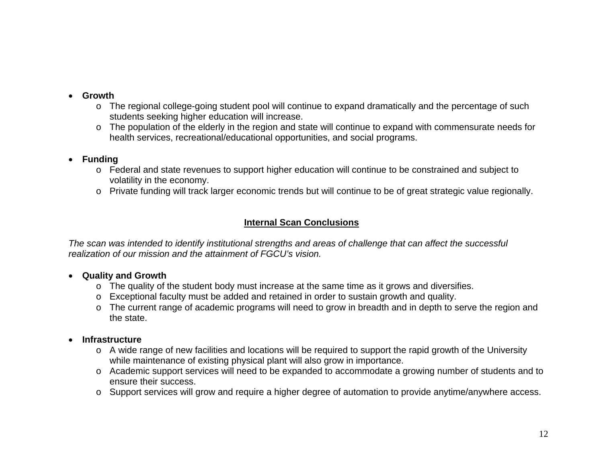#### • **Growth**

- <sup>o</sup> The regional college-going student pool will continue to expand dramatically and the percentage of such students seeking higher education will increase.
- <sup>o</sup> The population of the elderly in the region and state will continue to expand with commensurate needs for health services, recreational/educational opportunities, and social programs.

#### • **Funding**

- <sup>o</sup> Federal and state revenues to support higher education will continue to be constrained and subject to volatility in the economy.
- <sup>o</sup> Private funding will track larger economic trends but will continue to be of great strategic value regionally.

#### **Internal Scan Conclusions**

*The scan was intended to identify institutional strengths and areas of challenge that can affect the successful realization of our mission and the attainment of FGCU's vision.* 

#### •**Quality and Growth**

- <sup>o</sup> The quality of the student body must increase at the same time as it grows and diversifies.
- <sup>o</sup> Exceptional faculty must be added and retained in order to sustain growth and quality.
- <sup>o</sup> The current range of academic programs will need to grow in breadth and in depth to serve the region and the state.

#### •**Infrastructure**

- <sup>o</sup> A wide range of new facilities and locations will be required to support the rapid growth of the University while maintenance of existing physical plant will also grow in importance.
- <sup>o</sup> Academic support services will need to be expanded to accommodate a growing number of students and to ensure their success.
- o Support services will grow and require a higher degree of automation to provide anytime/anywhere access.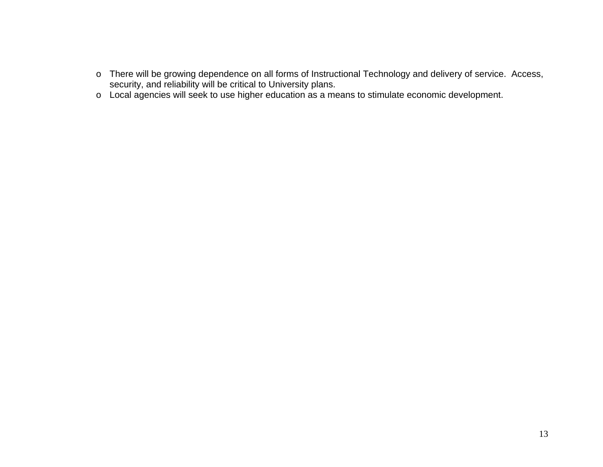- <sup>o</sup> There will be growing dependence on all forms of Instructional Technology and delivery of service. Access, security, and reliability will be critical to University plans.
- o Local agencies will seek to use higher education as a means to stimulate economic development.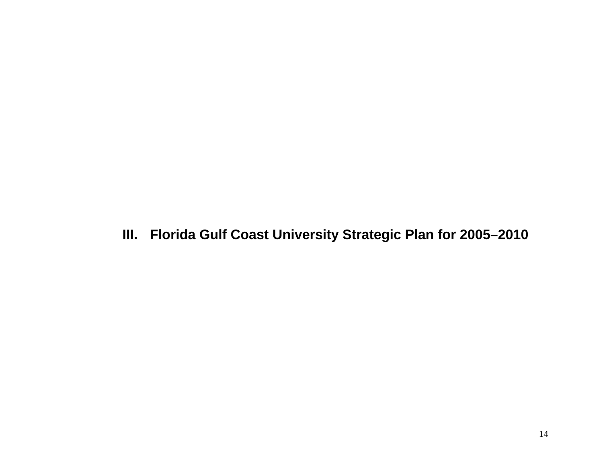**III. Florida Gulf Coast University Strategic Plan for 2005–2010**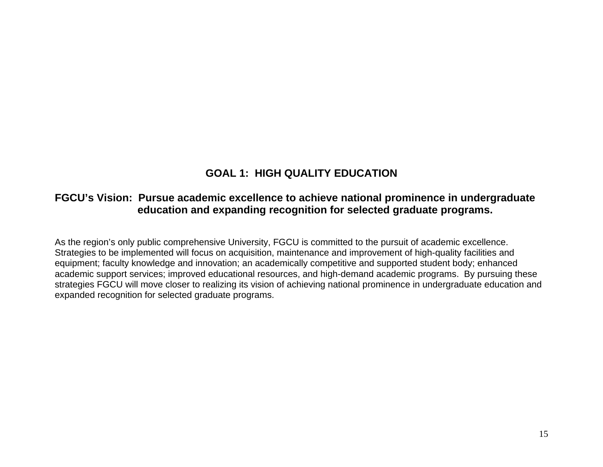#### **FGCU's Vision: Pursue academic excellence to achieve national prominence in undergraduate education and expanding recognition for selected graduate programs.**

As the region's only public comprehensive University, FGCU is committed to the pursuit of academic excellence. Strategies to be implemented will focus on acquisition, maintenance and improvement of high-quality facilities and equipment; faculty knowledge and innovation; an academically competitive and supported student body; enhanced academic support services; improved educational resources, and high-demand academic programs. By pursuing these strategies FGCU will move closer to realizing its vision of achieving national prominence in undergraduate education and expanded recognition for selected graduate programs.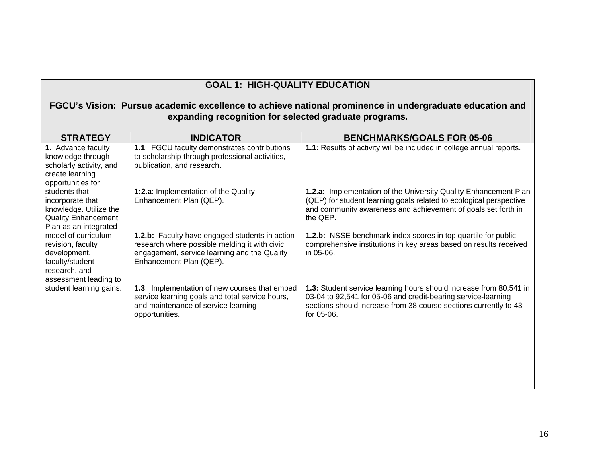| <b>STRATEGY</b>                                                                                                       | <b>INDICATOR</b>                                                                                                                                                           | <b>BENCHMARKS/GOALS FOR 05-06</b>                                                                                                                                                                                     |
|-----------------------------------------------------------------------------------------------------------------------|----------------------------------------------------------------------------------------------------------------------------------------------------------------------------|-----------------------------------------------------------------------------------------------------------------------------------------------------------------------------------------------------------------------|
| 1. Advance faculty<br>knowledge through<br>scholarly activity, and<br>create learning<br>opportunities for            | 1.1: FGCU faculty demonstrates contributions<br>to scholarship through professional activities,<br>publication, and research.                                              | 1.1: Results of activity will be included in college annual reports.                                                                                                                                                  |
| students that<br>incorporate that<br>knowledge. Utilize the<br><b>Quality Enhancement</b><br>Plan as an integrated    | 1:2.a: Implementation of the Quality<br>Enhancement Plan (QEP).                                                                                                            | 1.2.a: Implementation of the University Quality Enhancement Plan<br>(QEP) for student learning goals related to ecological perspective<br>and community awareness and achievement of goals set forth in<br>the QEP.   |
| model of curriculum<br>revision, faculty<br>development,<br>faculty/student<br>research, and<br>assessment leading to | 1.2.b: Faculty have engaged students in action<br>research where possible melding it with civic<br>engagement, service learning and the Quality<br>Enhancement Plan (QEP). | <b>1.2.b:</b> NSSE benchmark index scores in top quartile for public<br>comprehensive institutions in key areas based on results received<br>in 05-06.                                                                |
| student learning gains.                                                                                               | 1.3: Implementation of new courses that embed<br>service learning goals and total service hours,<br>and maintenance of service learning<br>opportunities.                  | 1.3: Student service learning hours should increase from 80,541 in<br>03-04 to 92,541 for 05-06 and credit-bearing service-learning<br>sections should increase from 38 course sections currently to 43<br>for 05-06. |
|                                                                                                                       |                                                                                                                                                                            |                                                                                                                                                                                                                       |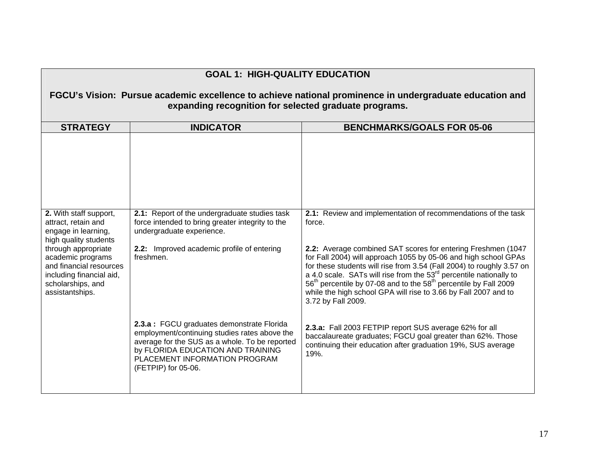| <b>STRATEGY</b>                                                                                                                                                                                                                          | <b>INDICATOR</b>                                                                                                                                                                                                                           | <b>BENCHMARKS/GOALS FOR 05-06</b>                                                                                                                                                                                                                                                                                                                                                                                                                                                                                                                          |
|------------------------------------------------------------------------------------------------------------------------------------------------------------------------------------------------------------------------------------------|--------------------------------------------------------------------------------------------------------------------------------------------------------------------------------------------------------------------------------------------|------------------------------------------------------------------------------------------------------------------------------------------------------------------------------------------------------------------------------------------------------------------------------------------------------------------------------------------------------------------------------------------------------------------------------------------------------------------------------------------------------------------------------------------------------------|
|                                                                                                                                                                                                                                          |                                                                                                                                                                                                                                            |                                                                                                                                                                                                                                                                                                                                                                                                                                                                                                                                                            |
| 2. With staff support,<br>attract, retain and<br>engage in learning,<br>high quality students<br>through appropriate<br>academic programs<br>and financial resources<br>including financial aid,<br>scholarships, and<br>assistantships. | 2.1: Report of the undergraduate studies task<br>force intended to bring greater integrity to the<br>undergraduate experience.<br>2.2: Improved academic profile of entering<br>freshmen.                                                  | 2.1: Review and implementation of recommendations of the task<br>force.<br>2.2: Average combined SAT scores for entering Freshmen (1047<br>for Fall 2004) will approach 1055 by 05-06 and high school GPAs<br>for these students will rise from 3.54 (Fall 2004) to roughly 3.57 on<br>a 4.0 scale. SATs will rise from the 53 <sup>rd</sup> percentile nationally to<br>56 <sup>th</sup> percentile by 07-08 and to the 58 <sup>th</sup> percentile by Fall 2009<br>while the high school GPA will rise to 3.66 by Fall 2007 and to<br>3.72 by Fall 2009. |
|                                                                                                                                                                                                                                          | 2.3.a : FGCU graduates demonstrate Florida<br>employment/continuing studies rates above the<br>average for the SUS as a whole. To be reported<br>by FLORIDA EDUCATION AND TRAINING<br>PLACEMENT INFORMATION PROGRAM<br>(FETPIP) for 05-06. | 2.3.a: Fall 2003 FETPIP report SUS average 62% for all<br>baccalaureate graduates; FGCU goal greater than 62%. Those<br>continuing their education after graduation 19%, SUS average<br>19%.                                                                                                                                                                                                                                                                                                                                                               |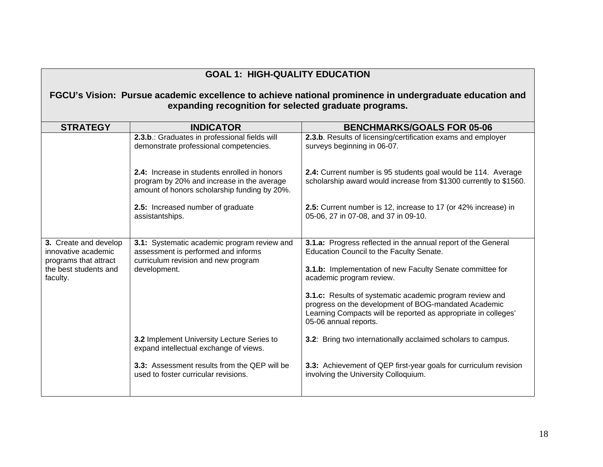| <b>STRATEGY</b>                                                       | <b>INDICATOR</b>                                                                                                                           | <b>BENCHMARKS/GOALS FOR 05-06</b>                                                                                                                                                                           |
|-----------------------------------------------------------------------|--------------------------------------------------------------------------------------------------------------------------------------------|-------------------------------------------------------------------------------------------------------------------------------------------------------------------------------------------------------------|
|                                                                       | 2.3.b.: Graduates in professional fields will<br>demonstrate professional competencies.                                                    | 2.3.b. Results of licensing/certification exams and employer<br>surveys beginning in 06-07.                                                                                                                 |
|                                                                       | 2.4: Increase in students enrolled in honors<br>program by 20% and increase in the average<br>amount of honors scholarship funding by 20%. | 2.4: Current number is 95 students goal would be 114. Average<br>scholarship award would increase from \$1300 currently to \$1560.                                                                          |
|                                                                       | 2.5: Increased number of graduate<br>assistantships.                                                                                       | 2.5: Current number is 12, increase to 17 (or 42% increase) in<br>05-06, 27 in 07-08, and 37 in 09-10.                                                                                                      |
| 3. Create and develop<br>innovative academic<br>programs that attract | 3.1: Systematic academic program review and<br>assessment is performed and informs<br>curriculum revision and new program                  | 3.1.a: Progress reflected in the annual report of the General<br>Education Council to the Faculty Senate.                                                                                                   |
| the best students and<br>faculty.                                     | development.                                                                                                                               | 3.1.b: Implementation of new Faculty Senate committee for<br>academic program review.                                                                                                                       |
|                                                                       |                                                                                                                                            | 3.1.c: Results of systematic academic program review and<br>progress on the development of BOG-mandated Academic<br>Learning Compacts will be reported as appropriate in colleges'<br>05-06 annual reports. |
|                                                                       | 3.2 Implement University Lecture Series to<br>expand intellectual exchange of views.                                                       | 3.2: Bring two internationally acclaimed scholars to campus.                                                                                                                                                |
|                                                                       | <b>3.3:</b> Assessment results from the QEP will be<br>used to foster curricular revisions.                                                | 3.3: Achievement of QEP first-year goals for curriculum revision<br>involving the University Colloquium.                                                                                                    |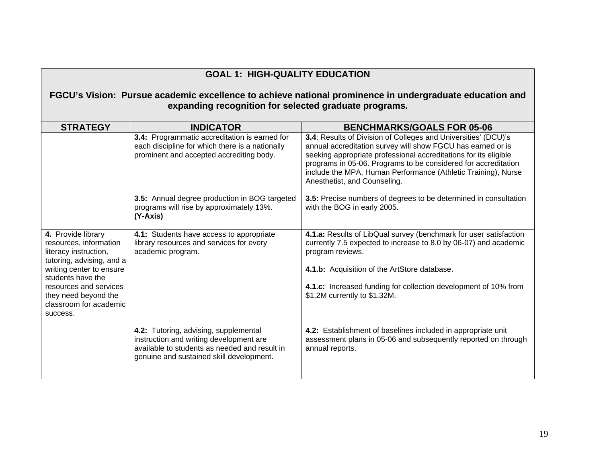| <b>STRATEGY</b>                                                                                                                                                                                                                             | <b>INDICATOR</b>                                                                                                                                                              | <b>BENCHMARKS/GOALS FOR 05-06</b>                                                                                                                                                                                                                                                                                                                                    |
|---------------------------------------------------------------------------------------------------------------------------------------------------------------------------------------------------------------------------------------------|-------------------------------------------------------------------------------------------------------------------------------------------------------------------------------|----------------------------------------------------------------------------------------------------------------------------------------------------------------------------------------------------------------------------------------------------------------------------------------------------------------------------------------------------------------------|
|                                                                                                                                                                                                                                             | 3.4: Programmatic accreditation is earned for<br>each discipline for which there is a nationally<br>prominent and accepted accrediting body.                                  | 3.4: Results of Division of Colleges and Universities' (DCU)'s<br>annual accreditation survey will show FGCU has earned or is<br>seeking appropriate professional accreditations for its eligible<br>programs in 05-06. Programs to be considered for accreditation<br>include the MPA, Human Performance (Athletic Training), Nurse<br>Anesthetist, and Counseling. |
|                                                                                                                                                                                                                                             | 3.5: Annual degree production in BOG targeted<br>programs will rise by approximately 13%.<br>(Y-Axis)                                                                         | 3.5: Precise numbers of degrees to be determined in consultation<br>with the BOG in early 2005.                                                                                                                                                                                                                                                                      |
| 4. Provide library<br>resources, information<br>literacy instruction,<br>tutoring, advising, and a<br>writing center to ensure<br>students have the<br>resources and services<br>they need beyond the<br>classroom for academic<br>success. | 4.1: Students have access to appropriate<br>library resources and services for every<br>academic program.                                                                     | 4.1.a: Results of LibQual survey (benchmark for user satisfaction<br>currently 7.5 expected to increase to 8.0 by 06-07) and academic<br>program reviews.<br>4.1.b: Acquisition of the ArtStore database.<br>4.1.c: Increased funding for collection development of 10% from<br>\$1.2M currently to \$1.32M.                                                         |
|                                                                                                                                                                                                                                             | 4.2: Tutoring, advising, supplemental<br>instruction and writing development are<br>available to students as needed and result in<br>genuine and sustained skill development. | 4.2: Establishment of baselines included in appropriate unit<br>assessment plans in 05-06 and subsequently reported on through<br>annual reports.                                                                                                                                                                                                                    |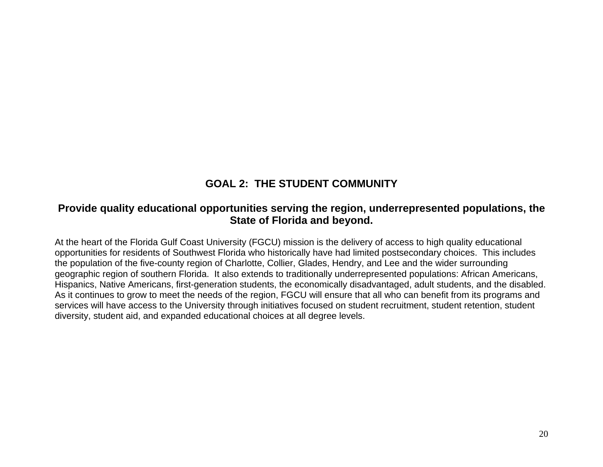#### **Provide quality educational opportunities serving the region, underrepresented populations, the State of Florida and beyond.**

At the heart of the Florida Gulf Coast University (FGCU) mission is the delivery of access to high quality educational opportunities for residents of Southwest Florida who historically have had limited postsecondary choices. This includes the population of the five-county region of Charlotte, Collier, Glades, Hendry, and Lee and the wider surrounding geographic region of southern Florida. It also extends to traditionally underrepresented populations: African Americans, Hispanics, Native Americans, first-generation students, the economically disadvantaged, adult students, and the disabled. As it continues to grow to meet the needs of the region, FGCU will ensure that all who can benefit from its programs and services will have access to the University through initiatives focused on student recruitment, student retention, student diversity, student aid, and expanded educational choices at all degree levels.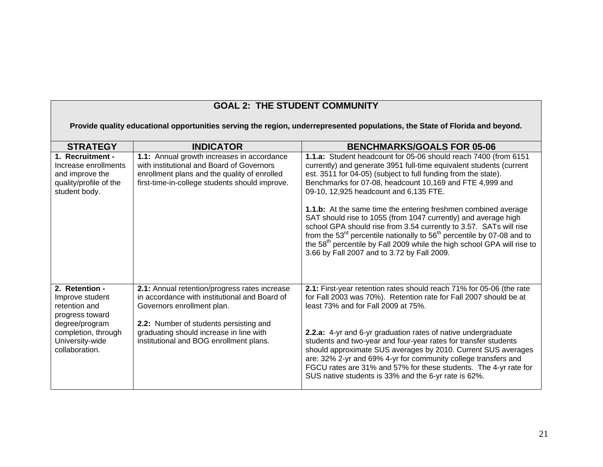**Provide quality educational opportunities serving the region, underrepresented populations, the State of Florida and beyond.** 

| <b>STRATEGY</b>                                                                                                                                     | <b>INDICATOR</b>                                                                                                                                                                                                                                             | <b>BENCHMARKS/GOALS FOR 05-06</b>                                                                                                                                                                                                                                                                                                                                                                                                                                                                                                                                                                                                                                                                                                                  |
|-----------------------------------------------------------------------------------------------------------------------------------------------------|--------------------------------------------------------------------------------------------------------------------------------------------------------------------------------------------------------------------------------------------------------------|----------------------------------------------------------------------------------------------------------------------------------------------------------------------------------------------------------------------------------------------------------------------------------------------------------------------------------------------------------------------------------------------------------------------------------------------------------------------------------------------------------------------------------------------------------------------------------------------------------------------------------------------------------------------------------------------------------------------------------------------------|
| 1. Recruitment -<br>Increase enrollments<br>and improve the<br>quality/profile of the<br>student body.                                              | 1.1: Annual growth increases in accordance<br>with institutional and Board of Governors<br>enrollment plans and the quality of enrolled<br>first-time-in-college students should improve.                                                                    | 1.1.a: Student headcount for 05-06 should reach 7400 (from 6151<br>currently) and generate 3951 full-time equivalent students (current<br>est. 3511 for 04-05) (subject to full funding from the state).<br>Benchmarks for 07-08, headcount 10,169 and FTE 4,999 and<br>09-10, 12,925 headcount and 6,135 FTE.<br>1.1.b: At the same time the entering freshmen combined average<br>SAT should rise to 1055 (from 1047 currently) and average high<br>school GPA should rise from 3.54 currently to 3.57. SATs will rise<br>from the $53^{rd}$ percentile nationally to $56^{th}$ percentile by 07-08 and to<br>the 58 <sup>th</sup> percentile by Fall 2009 while the high school GPA will rise to<br>3.66 by Fall 2007 and to 3.72 by Fall 2009. |
| 2. Retention -<br>Improve student<br>retention and<br>progress toward<br>degree/program<br>completion, through<br>University-wide<br>collaboration. | 2.1: Annual retention/progress rates increase<br>in accordance with institutional and Board of<br>Governors enrollment plan.<br>2.2: Number of students persisting and<br>graduating should increase in line with<br>institutional and BOG enrollment plans. | 2.1: First-year retention rates should reach 71% for 05-06 (the rate<br>for Fall 2003 was 70%). Retention rate for Fall 2007 should be at<br>least 73% and for Fall 2009 at 75%.<br>2.2.a: 4-yr and 6-yr graduation rates of native undergraduate<br>students and two-year and four-year rates for transfer students<br>should approximate SUS averages by 2010. Current SUS averages<br>are: 32% 2-yr and 69% 4-yr for community college transfers and<br>FGCU rates are 31% and 57% for these students. The 4-yr rate for<br>SUS native students is 33% and the 6-yr rate is 62%.                                                                                                                                                                |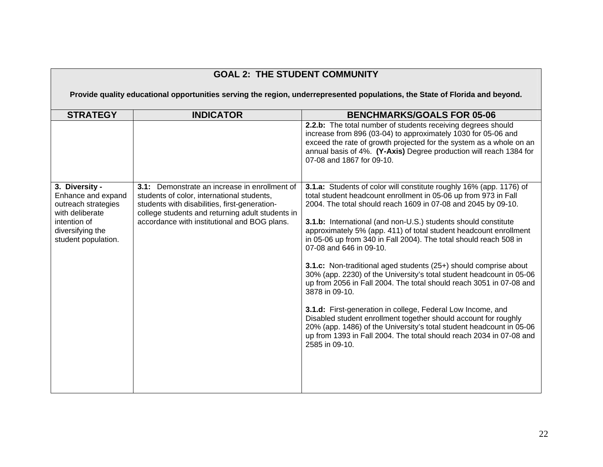|                                                                                                                                           |                                                                                                                                                                                                                                                  | Provide quality educational opportunities serving the region, underrepresented populations, the State of Florida and beyond.                                                                                                                                                                                                                                                                                                                                                                                                                                                                                                                                                                                                                                                                                                                                                                                                                                                           |
|-------------------------------------------------------------------------------------------------------------------------------------------|--------------------------------------------------------------------------------------------------------------------------------------------------------------------------------------------------------------------------------------------------|----------------------------------------------------------------------------------------------------------------------------------------------------------------------------------------------------------------------------------------------------------------------------------------------------------------------------------------------------------------------------------------------------------------------------------------------------------------------------------------------------------------------------------------------------------------------------------------------------------------------------------------------------------------------------------------------------------------------------------------------------------------------------------------------------------------------------------------------------------------------------------------------------------------------------------------------------------------------------------------|
| <b>STRATEGY</b>                                                                                                                           | <b>INDICATOR</b>                                                                                                                                                                                                                                 | <b>BENCHMARKS/GOALS FOR 05-06</b>                                                                                                                                                                                                                                                                                                                                                                                                                                                                                                                                                                                                                                                                                                                                                                                                                                                                                                                                                      |
|                                                                                                                                           |                                                                                                                                                                                                                                                  | 2.2.b: The total number of students receiving degrees should<br>increase from 896 (03-04) to approximately 1030 for 05-06 and<br>exceed the rate of growth projected for the system as a whole on an<br>annual basis of 4%. (Y-Axis) Degree production will reach 1384 for<br>07-08 and 1867 for 09-10.                                                                                                                                                                                                                                                                                                                                                                                                                                                                                                                                                                                                                                                                                |
| 3. Diversity -<br>Enhance and expand<br>outreach strategies<br>with deliberate<br>intention of<br>diversifying the<br>student population. | 3.1: Demonstrate an increase in enrollment of<br>students of color, international students,<br>students with disabilities, first-generation-<br>college students and returning adult students in<br>accordance with institutional and BOG plans. | 3.1.a: Students of color will constitute roughly 16% (app. 1176) of<br>total student headcount enrollment in 05-06 up from 973 in Fall<br>2004. The total should reach 1609 in 07-08 and 2045 by 09-10.<br>3.1.b: International (and non-U.S.) students should constitute<br>approximately 5% (app. 411) of total student headcount enrollment<br>in 05-06 up from 340 in Fall 2004). The total should reach 508 in<br>07-08 and 646 in 09-10.<br>3.1.c: Non-traditional aged students (25+) should comprise about<br>30% (app. 2230) of the University's total student headcount in 05-06<br>up from 2056 in Fall 2004. The total should reach 3051 in 07-08 and<br>3878 in 09-10.<br>3.1.d: First-generation in college, Federal Low Income, and<br>Disabled student enrollment together should account for roughly<br>20% (app. 1486) of the University's total student headcount in 05-06<br>up from 1393 in Fall 2004. The total should reach 2034 in 07-08 and<br>2585 in 09-10. |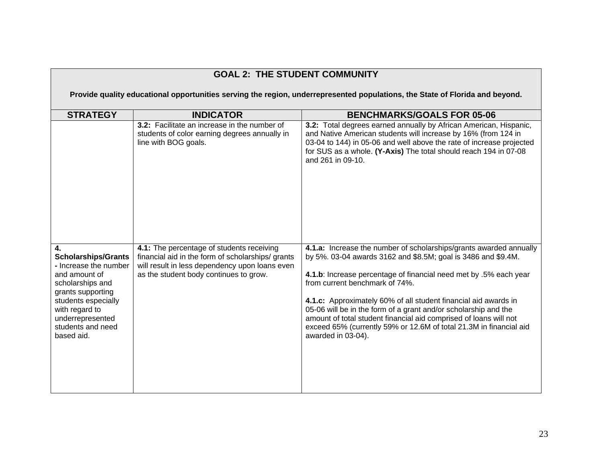| <b>GOAL 2: THE STUDENT COMMUNITY</b>                                                                                                                                                                                |                                                                                                                                                                                            |                                                                                                                                                                                                                                                                                                                                                                                                                                                                                                                                                   |  |
|---------------------------------------------------------------------------------------------------------------------------------------------------------------------------------------------------------------------|--------------------------------------------------------------------------------------------------------------------------------------------------------------------------------------------|---------------------------------------------------------------------------------------------------------------------------------------------------------------------------------------------------------------------------------------------------------------------------------------------------------------------------------------------------------------------------------------------------------------------------------------------------------------------------------------------------------------------------------------------------|--|
| Provide quality educational opportunities serving the region, underrepresented populations, the State of Florida and beyond.                                                                                        |                                                                                                                                                                                            |                                                                                                                                                                                                                                                                                                                                                                                                                                                                                                                                                   |  |
| <b>STRATEGY</b>                                                                                                                                                                                                     | <b>INDICATOR</b>                                                                                                                                                                           | <b>BENCHMARKS/GOALS FOR 05-06</b>                                                                                                                                                                                                                                                                                                                                                                                                                                                                                                                 |  |
|                                                                                                                                                                                                                     | 3.2: Facilitate an increase in the number of<br>students of color earning degrees annually in<br>line with BOG goals.                                                                      | 3.2: Total degrees earned annually by African American, Hispanic,<br>and Native American students will increase by 16% (from 124 in<br>03-04 to 144) in 05-06 and well above the rate of increase projected<br>for SUS as a whole. (Y-Axis) The total should reach 194 in 07-08<br>and 261 in 09-10.                                                                                                                                                                                                                                              |  |
| 4.<br><b>Scholarships/Grants</b><br>- Increase the number<br>and amount of<br>scholarships and<br>grants supporting<br>students especially<br>with regard to<br>underrepresented<br>students and need<br>based aid. | 4.1: The percentage of students receiving<br>financial aid in the form of scholarships/ grants<br>will result in less dependency upon loans even<br>as the student body continues to grow. | 4.1.a: Increase the number of scholarships/grants awarded annually<br>by 5%. 03-04 awards 3162 and \$8.5M; goal is 3486 and \$9.4M.<br>4.1.b: Increase percentage of financial need met by .5% each year<br>from current benchmark of 74%.<br>4.1.c: Approximately 60% of all student financial aid awards in<br>05-06 will be in the form of a grant and/or scholarship and the<br>amount of total student financial aid comprised of loans will not<br>exceed 65% (currently 59% or 12.6M of total 21.3M in financial aid<br>awarded in 03-04). |  |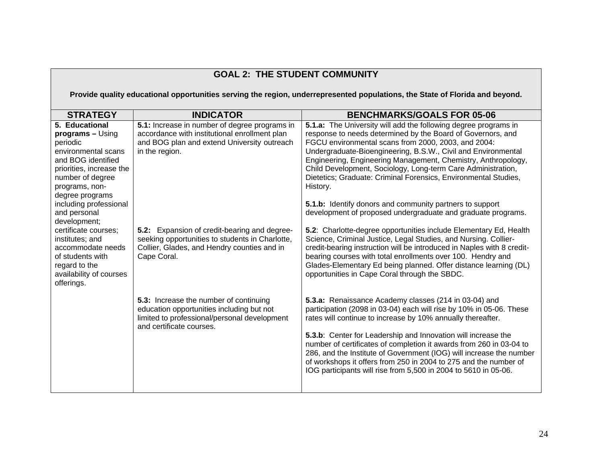#### **Provide quality educational opportunities serving the region, underrepresented populations, the State of Florida and beyond.**

| <b>STRATEGY</b>                                                                                                                                                                                                                            | <b>INDICATOR</b>                                                                                                                                                | <b>BENCHMARKS/GOALS FOR 05-06</b>                                                                                                                                                                                                                                                                                                                                                                                                                                                                                                                                                                  |
|--------------------------------------------------------------------------------------------------------------------------------------------------------------------------------------------------------------------------------------------|-----------------------------------------------------------------------------------------------------------------------------------------------------------------|----------------------------------------------------------------------------------------------------------------------------------------------------------------------------------------------------------------------------------------------------------------------------------------------------------------------------------------------------------------------------------------------------------------------------------------------------------------------------------------------------------------------------------------------------------------------------------------------------|
| 5. Educational<br>programs - Using<br>periodic<br>environmental scans<br>and BOG identified<br>priorities, increase the<br>number of degree<br>programs, non-<br>degree programs<br>including professional<br>and personal<br>development; | 5.1: Increase in number of degree programs in<br>accordance with institutional enrollment plan<br>and BOG plan and extend University outreach<br>in the region. | 5.1.a: The University will add the following degree programs in<br>response to needs determined by the Board of Governors, and<br>FGCU environmental scans from 2000, 2003, and 2004:<br>Undergraduate-Bioengineering, B.S.W., Civil and Environmental<br>Engineering, Engineering Management, Chemistry, Anthropology,<br>Child Development, Sociology, Long-term Care Administration,<br>Dietetics; Graduate: Criminal Forensics, Environmental Studies,<br>History.<br>5.1.b: Identify donors and community partners to support<br>development of proposed undergraduate and graduate programs. |
| certificate courses;<br>institutes; and<br>accommodate needs<br>of students with<br>regard to the<br>availability of courses<br>offerings.                                                                                                 | 5.2: Expansion of credit-bearing and degree-<br>seeking opportunities to students in Charlotte,<br>Collier, Glades, and Hendry counties and in<br>Cape Coral.   | 5.2: Charlotte-degree opportunities include Elementary Ed, Health<br>Science, Criminal Justice, Legal Studies, and Nursing. Collier-<br>credit-bearing instruction will be introduced in Naples with 8 credit-<br>bearing courses with total enrollments over 100. Hendry and<br>Glades-Elementary Ed being planned. Offer distance learning (DL)<br>opportunities in Cape Coral through the SBDC.                                                                                                                                                                                                 |
|                                                                                                                                                                                                                                            | 5.3: Increase the number of continuing<br>education opportunities including but not<br>limited to professional/personal development<br>and certificate courses. | 5.3.a: Renaissance Academy classes (214 in 03-04) and<br>participation (2098 in 03-04) each will rise by 10% in 05-06. These<br>rates will continue to increase by 10% annually thereafter.<br>5.3.b: Center for Leadership and Innovation will increase the<br>number of certificates of completion it awards from 260 in 03-04 to<br>286, and the Institute of Government (IOG) will increase the number<br>of workshops it offers from 250 in 2004 to 275 and the number of<br>IOG participants will rise from 5,500 in 2004 to 5610 in 05-06.                                                  |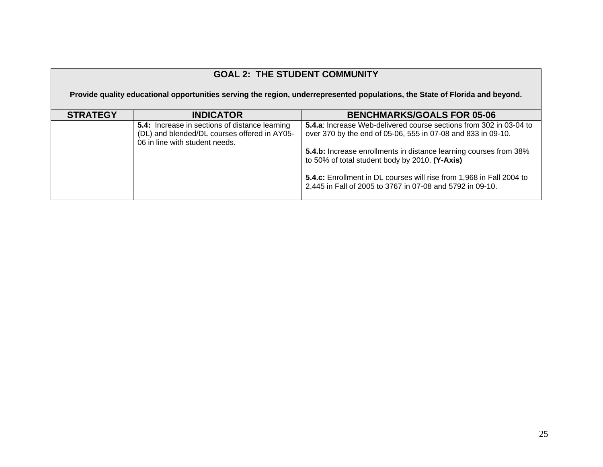**Provide quality educational opportunities serving the region, underrepresented populations, the State of Florida and beyond.** 

| <b>STRATEGY</b> | <b>INDICATOR</b>                                                                                                                 | <b>BENCHMARKS/GOALS FOR 05-06</b>                                                                                                  |
|-----------------|----------------------------------------------------------------------------------------------------------------------------------|------------------------------------------------------------------------------------------------------------------------------------|
|                 | 5.4: Increase in sections of distance learning<br>(DL) and blended/DL courses offered in AY05-<br>06 in line with student needs. | 5.4.a: Increase Web-delivered course sections from 302 in 03-04 to<br>over 370 by the end of 05-06, 555 in 07-08 and 833 in 09-10. |
|                 |                                                                                                                                  | <b>5.4.b:</b> Increase enrollments in distance learning courses from 38%<br>to 50% of total student body by 2010. (Y-Axis)         |
|                 |                                                                                                                                  | 5.4.c: Enrollment in DL courses will rise from 1,968 in Fall 2004 to<br>2,445 in Fall of 2005 to 3767 in 07-08 and 5792 in 09-10.  |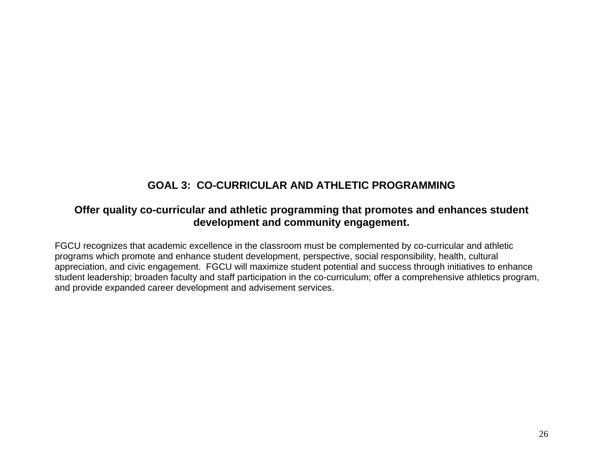## **Offer quality co-curricular and athletic programming that promotes and enhances student development and community engagement.**

FGCU recognizes that academic excellence in the classroom must be complemented by co-curricular and athletic programs which promote and enhance student development, perspective, social responsibility, health, cultural appreciation, and civic engagement. FGCU will maximize student potential and success through initiatives to enhance student leadership; broaden faculty and staff participation in the co-curriculum; offer a comprehensive athletics program, and provide expanded career development and advisement services.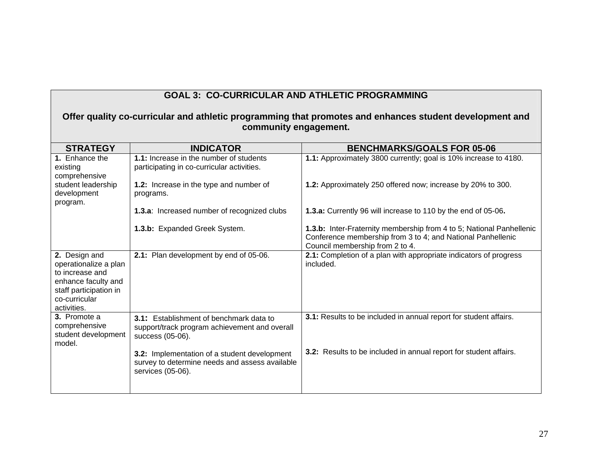**Offer quality co-curricular and athletic programming that promotes and enhances student development and community engagement.** 

| <b>STRATEGY</b>                                                                                                                            | <b>INDICATOR</b>                                                                                                    | <b>BENCHMARKS/GOALS FOR 05-06</b>                                                                                                                                      |
|--------------------------------------------------------------------------------------------------------------------------------------------|---------------------------------------------------------------------------------------------------------------------|------------------------------------------------------------------------------------------------------------------------------------------------------------------------|
| 1. Enhance the<br>existing<br>comprehensive                                                                                                | 1.1: Increase in the number of students<br>participating in co-curricular activities.                               | 1.1: Approximately 3800 currently; goal is 10% increase to 4180.                                                                                                       |
| student leadership<br>development<br>program.                                                                                              | 1.2: Increase in the type and number of<br>programs.                                                                | 1.2: Approximately 250 offered now; increase by 20% to 300.                                                                                                            |
|                                                                                                                                            | 1.3.a: Increased number of recognized clubs                                                                         | 1.3.a: Currently 96 will increase to 110 by the end of 05-06.                                                                                                          |
|                                                                                                                                            | 1.3.b: Expanded Greek System.                                                                                       | 1.3.b: Inter-Fraternity membership from 4 to 5; National Panhellenic<br>Conference membership from 3 to 4; and National Panhellenic<br>Council membership from 2 to 4. |
| 2. Design and<br>operationalize a plan<br>to increase and<br>enhance faculty and<br>staff participation in<br>co-curricular<br>activities. | 2.1: Plan development by end of 05-06.                                                                              | 2.1: Completion of a plan with appropriate indicators of progress<br>included.                                                                                         |
| 3. Promote a<br>comprehensive<br>student development<br>model.                                                                             | 3.1: Establishment of benchmark data to<br>support/track program achievement and overall<br>success (05-06).        | 3.1: Results to be included in annual report for student affairs.                                                                                                      |
|                                                                                                                                            | 3.2: Implementation of a student development<br>survey to determine needs and assess available<br>services (05-06). | 3.2: Results to be included in annual report for student affairs.                                                                                                      |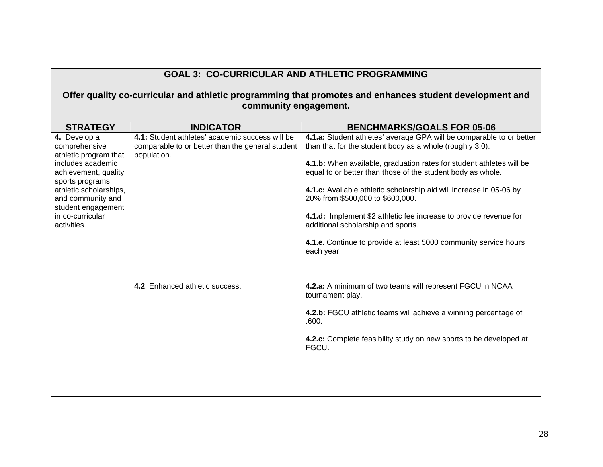#### **Offer quality co-curricular and athletic programming that promotes and enhances student development and community engagement.**

| <b>STRATEGY</b>                                                 | <b>INDICATOR</b>                                                                                                   | <b>BENCHMARKS/GOALS FOR 05-06</b>                                                                                                   |
|-----------------------------------------------------------------|--------------------------------------------------------------------------------------------------------------------|-------------------------------------------------------------------------------------------------------------------------------------|
| 4. Develop a<br>comprehensive<br>athletic program that          | 4.1: Student athletes' academic success will be<br>comparable to or better than the general student<br>population. | 4.1.a: Student athletes' average GPA will be comparable to or better<br>than that for the student body as a whole (roughly 3.0).    |
| includes academic<br>achievement, quality                       |                                                                                                                    | 4.1.b: When available, graduation rates for student athletes will be<br>equal to or better than those of the student body as whole. |
| sports programs,<br>athletic scholarships,<br>and community and |                                                                                                                    | 4.1.c: Available athletic scholarship aid will increase in 05-06 by<br>20% from \$500,000 to \$600,000.                             |
| student engagement<br>in co-curricular<br>activities.           |                                                                                                                    | 4.1.d: Implement \$2 athletic fee increase to provide revenue for<br>additional scholarship and sports.                             |
|                                                                 |                                                                                                                    | 4.1.e. Continue to provide at least 5000 community service hours<br>each year.                                                      |
|                                                                 | 4.2. Enhanced athletic success.                                                                                    |                                                                                                                                     |
|                                                                 |                                                                                                                    | 4.2.a: A minimum of two teams will represent FGCU in NCAA<br>tournament play.                                                       |
|                                                                 |                                                                                                                    | 4.2.b: FGCU athletic teams will achieve a winning percentage of<br>.600.                                                            |
|                                                                 |                                                                                                                    | 4.2.c: Complete feasibility study on new sports to be developed at<br>FGCU.                                                         |
|                                                                 |                                                                                                                    |                                                                                                                                     |
|                                                                 |                                                                                                                    |                                                                                                                                     |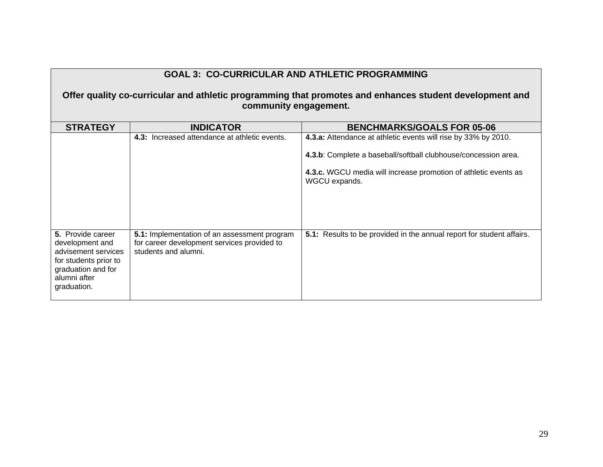**Offer quality co-curricular and athletic programming that promotes and enhances student development and community engagement.** 

| <b>STRATEGY</b>                                                                                                                           | <b>INDICATOR</b>                                                                                                    | <b>BENCHMARKS/GOALS FOR 05-06</b>                                                                                                                                                                                    |
|-------------------------------------------------------------------------------------------------------------------------------------------|---------------------------------------------------------------------------------------------------------------------|----------------------------------------------------------------------------------------------------------------------------------------------------------------------------------------------------------------------|
|                                                                                                                                           | 4.3: Increased attendance at athletic events.                                                                       | 4.3.a: Attendance at athletic events will rise by 33% by 2010.<br>4.3.b: Complete a baseball/softball clubhouse/concession area.<br>4.3.c. WGCU media will increase promotion of athletic events as<br>WGCU expands. |
| 5. Provide career<br>development and<br>advisement services<br>for students prior to<br>graduation and for<br>alumni after<br>graduation. | 5.1: Implementation of an assessment program<br>for career development services provided to<br>students and alumni. | 5.1: Results to be provided in the annual report for student affairs.                                                                                                                                                |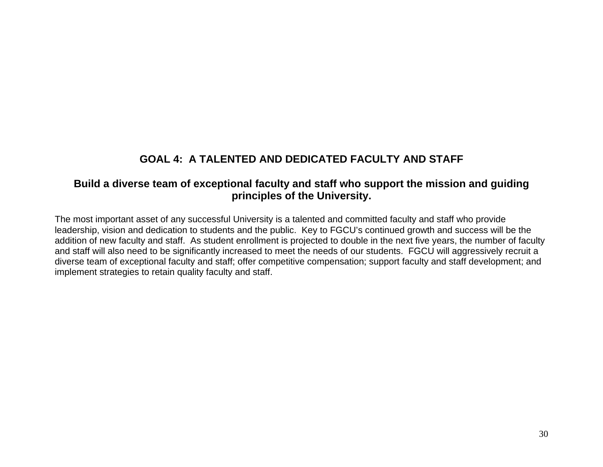# **GOAL 4: A TALENTED AND DEDICATED FACULTY AND STAFF**

#### **Build a diverse team of exceptional faculty and staff who support the mission and guiding principles of the University.**

The most important asset of any successful University is a talented and committed faculty and staff who provide leadership, vision and dedication to students and the public. Key to FGCU's continued growth and success will be the addition of new faculty and staff. As student enrollment is projected to double in the next five years, the number of faculty and staff will also need to be significantly increased to meet the needs of our students. FGCU will aggressively recruit a diverse team of exceptional faculty and staff; offer competitive compensation; support faculty and staff development; and implement strategies to retain quality faculty and staff.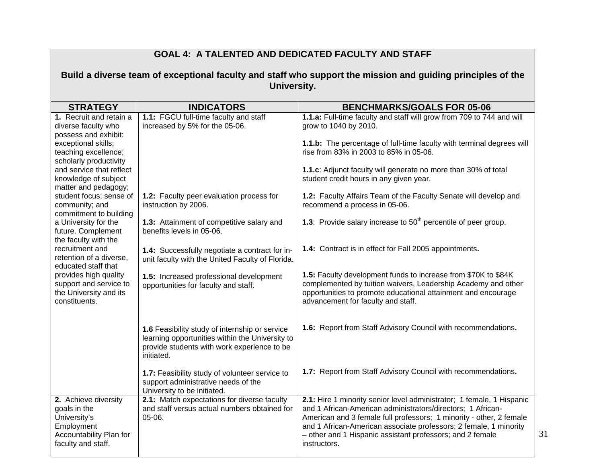| <b>GOAL 4: A TALENTED AND DEDICATED FACULTY AND STAFF</b>                                                                                       |                                                                                                                                                                |                                                                                                                                                                                                                                                                                                                                                               |  |
|-------------------------------------------------------------------------------------------------------------------------------------------------|----------------------------------------------------------------------------------------------------------------------------------------------------------------|---------------------------------------------------------------------------------------------------------------------------------------------------------------------------------------------------------------------------------------------------------------------------------------------------------------------------------------------------------------|--|
| Build a diverse team of exceptional faculty and staff who support the mission and guiding principles of the<br>University.                      |                                                                                                                                                                |                                                                                                                                                                                                                                                                                                                                                               |  |
| <b>STRATEGY</b>                                                                                                                                 | <b>INDICATORS</b>                                                                                                                                              | <b>BENCHMARKS/GOALS FOR 05-06</b>                                                                                                                                                                                                                                                                                                                             |  |
| 1. Recruit and retain a<br>diverse faculty who<br>possess and exhibit:<br>exceptional skills;<br>teaching excellence;<br>scholarly productivity | 1.1: FGCU full-time faculty and staff<br>increased by 5% for the 05-06.                                                                                        | 1.1.a: Full-time faculty and staff will grow from 709 to 744 and will<br>grow to 1040 by 2010.<br>1.1.b: The percentage of full-time faculty with terminal degrees will<br>rise from 83% in 2003 to 85% in 05-06.                                                                                                                                             |  |
| and service that reflect<br>knowledge of subject<br>matter and pedagogy;                                                                        |                                                                                                                                                                | 1.1.c: Adjunct faculty will generate no more than 30% of total<br>student credit hours in any given year.                                                                                                                                                                                                                                                     |  |
| student focus; sense of<br>community; and<br>commitment to building                                                                             | 1.2: Faculty peer evaluation process for<br>instruction by 2006.                                                                                               | 1.2: Faculty Affairs Team of the Faculty Senate will develop and<br>recommend a process in 05-06.                                                                                                                                                                                                                                                             |  |
| a University for the<br>future. Complement<br>the faculty with the                                                                              | 1.3: Attainment of competitive salary and<br>benefits levels in 05-06.                                                                                         | 1.3: Provide salary increase to 50 <sup>th</sup> percentile of peer group.                                                                                                                                                                                                                                                                                    |  |
| recruitment and<br>retention of a diverse,<br>educated staff that                                                                               | 1.4: Successfully negotiate a contract for in-<br>unit faculty with the United Faculty of Florida.                                                             | 1.4: Contract is in effect for Fall 2005 appointments.                                                                                                                                                                                                                                                                                                        |  |
| provides high quality<br>support and service to<br>the University and its<br>constituents.                                                      | 1.5: Increased professional development<br>opportunities for faculty and staff.                                                                                | 1.5: Faculty development funds to increase from \$70K to \$84K<br>complemented by tuition waivers, Leadership Academy and other<br>opportunities to promote educational attainment and encourage<br>advancement for faculty and staff.                                                                                                                        |  |
|                                                                                                                                                 | 1.6 Feasibility study of internship or service<br>learning opportunities within the University to<br>provide students with work experience to be<br>initiated. | 1.6: Report from Staff Advisory Council with recommendations.                                                                                                                                                                                                                                                                                                 |  |
|                                                                                                                                                 | 1.7: Feasibility study of volunteer service to<br>support administrative needs of the<br>University to be initiated.                                           | 1.7: Report from Staff Advisory Council with recommendations.                                                                                                                                                                                                                                                                                                 |  |
| 2. Achieve diversity<br>goals in the<br>University's<br>Employment<br>Accountability Plan for<br>faculty and staff.                             | 2.1: Match expectations for diverse faculty<br>and staff versus actual numbers obtained for<br>$05-06.$                                                        | 2.1: Hire 1 minority senior level administrator; 1 female, 1 Hispanic<br>and 1 African-American administrators/directors; 1 African-<br>American and 3 female full professors; 1 minority - other, 2 female<br>and 1 African-American associate professors; 2 female, 1 minority<br>- other and 1 Hispanic assistant professors; and 2 female<br>instructors. |  |

31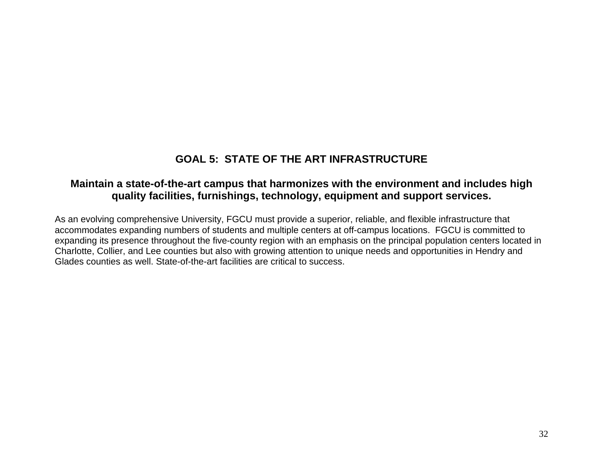#### **Maintain a state-of-the-art campus that harmonizes with the environment and includes high quality facilities, furnishings, technology, equipment and support services.**

As an evolving comprehensive University, FGCU must provide a superior, reliable, and flexible infrastructure that accommodates expanding numbers of students and multiple centers at off-campus locations. FGCU is committed to expanding its presence throughout the five-county region with an emphasis on the principal population centers located in Charlotte, Collier, and Lee counties but also with growing attention to unique needs and opportunities in Hendry and Glades counties as well. State-of-the-art facilities are critical to success.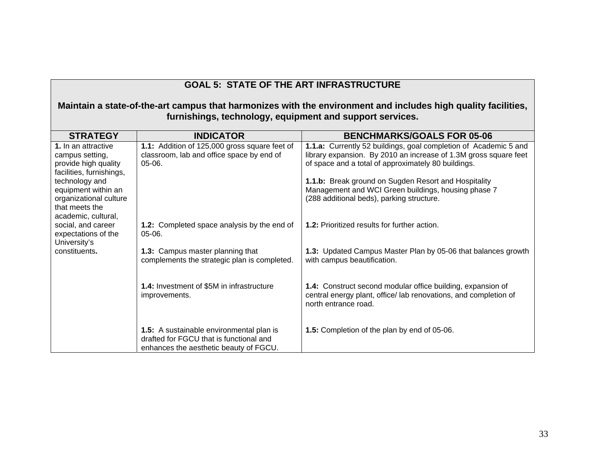| <b>STRATEGY</b>                                                                                          | <b>INDICATOR</b>                                                                                                              | <b>BENCHMARKS/GOALS FOR 05-06</b>                                                                                                                                                                  |
|----------------------------------------------------------------------------------------------------------|-------------------------------------------------------------------------------------------------------------------------------|----------------------------------------------------------------------------------------------------------------------------------------------------------------------------------------------------|
| 1. In an attractive<br>campus setting,<br>provide high quality<br>facilities, furnishings,               | 1.1: Addition of 125,000 gross square feet of<br>classroom, lab and office space by end of<br>$05-06.$                        | <b>1.1.a:</b> Currently 52 buildings, goal completion of Academic 5 and<br>library expansion. By 2010 an increase of 1.3M gross square feet<br>of space and a total of approximately 80 buildings. |
| technology and<br>equipment within an<br>organizational culture<br>that meets the<br>academic, cultural, |                                                                                                                               | <b>1.1.b:</b> Break ground on Sugden Resort and Hospitality<br>Management and WCI Green buildings, housing phase 7<br>(288 additional beds), parking structure.                                    |
| social, and career<br>expectations of the<br>University's                                                | 1.2: Completed space analysis by the end of<br>$05-06.$                                                                       | <b>1.2:</b> Prioritized results for further action.                                                                                                                                                |
| constituents.                                                                                            | 1.3: Campus master planning that<br>complements the strategic plan is completed.                                              | 1.3: Updated Campus Master Plan by 05-06 that balances growth<br>with campus beautification.                                                                                                       |
|                                                                                                          | 1.4: Investment of \$5M in infrastructure<br>improvements.                                                                    | <b>1.4:</b> Construct second modular office building, expansion of<br>central energy plant, office/ lab renovations, and completion of<br>north entrance road.                                     |
|                                                                                                          | 1.5: A sustainable environmental plan is<br>drafted for FGCU that is functional and<br>enhances the aesthetic beauty of FGCU. | 1.5: Completion of the plan by end of 05-06.                                                                                                                                                       |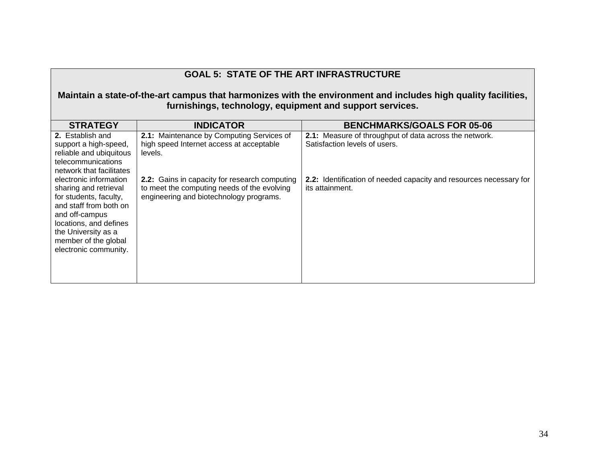| <b>INDICATOR</b>                                     | <b>BENCHMARKS/GOALS FOR 05-06</b>                                                       |
|------------------------------------------------------|-----------------------------------------------------------------------------------------|
| 2.1: Maintenance by Computing Services of            | 2.1: Measure of throughput of data across the network.<br>Satisfaction levels of users. |
| levels.                                              |                                                                                         |
|                                                      |                                                                                         |
| <b>2.2:</b> Gains in capacity for research computing | 2.2: Identification of needed capacity and resources necessary for<br>its attainment.   |
| engineering and biotechnology programs.              |                                                                                         |
|                                                      |                                                                                         |
|                                                      |                                                                                         |
|                                                      |                                                                                         |
|                                                      |                                                                                         |
|                                                      |                                                                                         |
|                                                      | high speed Internet access at acceptable<br>to meet the computing needs of the evolving |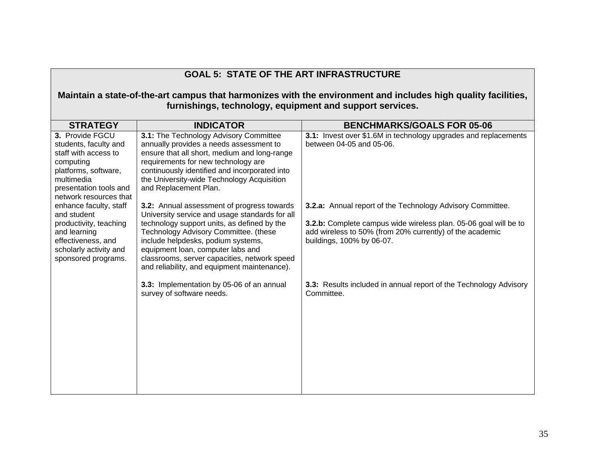| <b>STRATEGY</b>                                                                                                                                                         | <b>INDICATOR</b>                                                                                                                                                                                                                                                                                                                                                | <b>BENCHMARKS/GOALS FOR 05-06</b>                                                                                                                                                                                       |
|-------------------------------------------------------------------------------------------------------------------------------------------------------------------------|-----------------------------------------------------------------------------------------------------------------------------------------------------------------------------------------------------------------------------------------------------------------------------------------------------------------------------------------------------------------|-------------------------------------------------------------------------------------------------------------------------------------------------------------------------------------------------------------------------|
| 3. Provide FGCU<br>students, faculty and<br>staff with access to<br>computing<br>platforms, software,<br>multimedia<br>presentation tools and<br>network resources that | 3.1: The Technology Advisory Committee<br>annually provides a needs assessment to<br>ensure that all short, medium and long-range<br>requirements for new technology are<br>continuously identified and incorporated into<br>the University-wide Technology Acquisition<br>and Replacement Plan.                                                                | 3.1: Invest over \$1.6M in technology upgrades and replacements<br>between 04-05 and 05-06.                                                                                                                             |
| enhance faculty, staff<br>and student<br>productivity, teaching<br>and learning<br>effectiveness, and<br>scholarly activity and<br>sponsored programs.                  | 3.2: Annual assessment of progress towards<br>University service and usage standards for all<br>technology support units, as defined by the<br>Technology Advisory Committee. (these<br>include helpdesks, podium systems,<br>equipment loan, computer labs and<br>classrooms, server capacities, network speed<br>and reliability, and equipment maintenance). | 3.2.a: Annual report of the Technology Advisory Committee.<br>3.2.b: Complete campus wide wireless plan. 05-06 goal will be to<br>add wireless to 50% (from 20% currently) of the academic<br>buildings, 100% by 06-07. |
|                                                                                                                                                                         | 3.3: Implementation by 05-06 of an annual<br>survey of software needs.                                                                                                                                                                                                                                                                                          | 3.3: Results included in annual report of the Technology Advisory<br>Committee.                                                                                                                                         |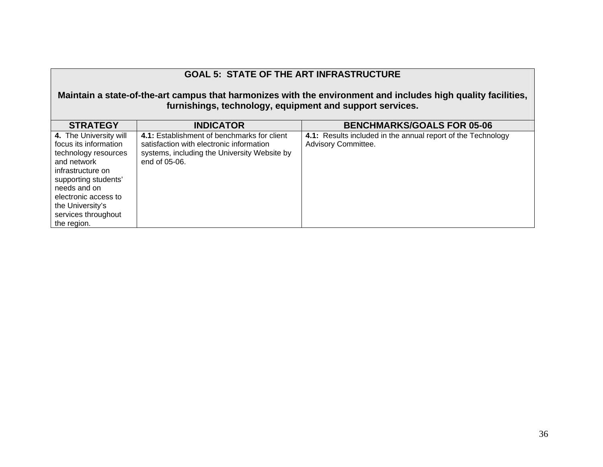| <b>STRATEGY</b>                                                                                                                                                                                                                       | <b>INDICATOR</b>                                                                                                                                         | <b>BENCHMARKS/GOALS FOR 05-06</b>                                                   |
|---------------------------------------------------------------------------------------------------------------------------------------------------------------------------------------------------------------------------------------|----------------------------------------------------------------------------------------------------------------------------------------------------------|-------------------------------------------------------------------------------------|
| 4. The University will<br>focus its information<br>technology resources<br>and network<br>infrastructure on<br>supporting students'<br>needs and on<br>electronic access to<br>the University's<br>services throughout<br>the region. | 4.1: Establishment of benchmarks for client<br>satisfaction with electronic information<br>systems, including the University Website by<br>end of 05-06. | 4.1: Results included in the annual report of the Technology<br>Advisory Committee. |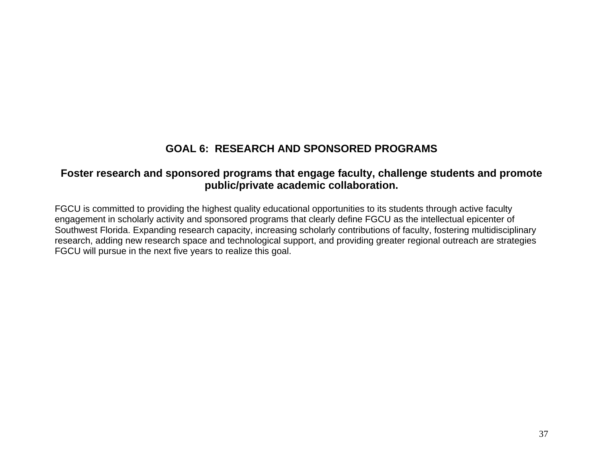# **GOAL 6: RESEARCH AND SPONSORED PROGRAMS**

#### **Foster research and sponsored programs that engage faculty, challenge students and promote public/private academic collaboration.**

FGCU is committed to providing the highest quality educational opportunities to its students through active faculty engagement in scholarly activity and sponsored programs that clearly define FGCU as the intellectual epicenter of Southwest Florida. Expanding research capacity, increasing scholarly contributions of faculty, fostering multidisciplinary research, adding new research space and technological support, and providing greater regional outreach are strategies FGCU will pursue in the next five years to realize this goal.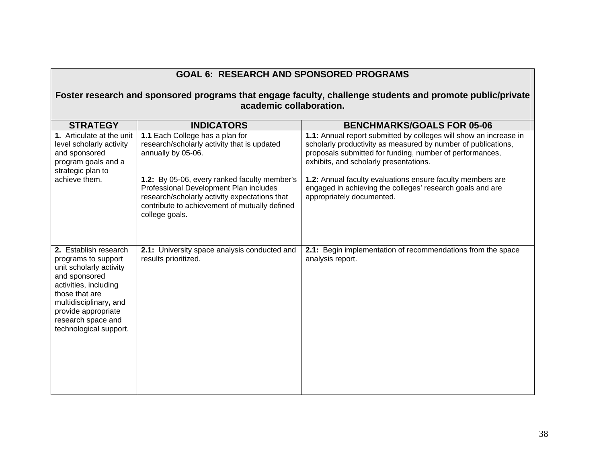#### **GOAL 6: RESEARCH AND SPONSORED PROGRAMS**

#### **Foster research and sponsored programs that engage faculty, challenge students and promote public/private academic collaboration.**

| <b>STRATEGY</b>                                                                                                                                                                                                                      | <b>INDICATORS</b>                                                                                                                                                                                          | <b>BENCHMARKS/GOALS FOR 05-06</b>                                                                                                                                                                                                        |
|--------------------------------------------------------------------------------------------------------------------------------------------------------------------------------------------------------------------------------------|------------------------------------------------------------------------------------------------------------------------------------------------------------------------------------------------------------|------------------------------------------------------------------------------------------------------------------------------------------------------------------------------------------------------------------------------------------|
| 1. Articulate at the unit<br>level scholarly activity<br>and sponsored<br>program goals and a<br>strategic plan to                                                                                                                   | 1.1 Each College has a plan for<br>research/scholarly activity that is updated<br>annually by 05-06.                                                                                                       | 1.1: Annual report submitted by colleges will show an increase in<br>scholarly productivity as measured by number of publications,<br>proposals submitted for funding, number of performances,<br>exhibits, and scholarly presentations. |
| achieve them.                                                                                                                                                                                                                        | 1.2: By 05-06, every ranked faculty member's<br>Professional Development Plan includes<br>research/scholarly activity expectations that<br>contribute to achievement of mutually defined<br>college goals. | 1.2: Annual faculty evaluations ensure faculty members are<br>engaged in achieving the colleges' research goals and are<br>appropriately documented.                                                                                     |
| 2. Establish research<br>programs to support<br>unit scholarly activity<br>and sponsored<br>activities, including<br>those that are<br>multidisciplinary, and<br>provide appropriate<br>research space and<br>technological support. | 2.1: University space analysis conducted and<br>results prioritized.                                                                                                                                       | 2.1: Begin implementation of recommendations from the space<br>analysis report.                                                                                                                                                          |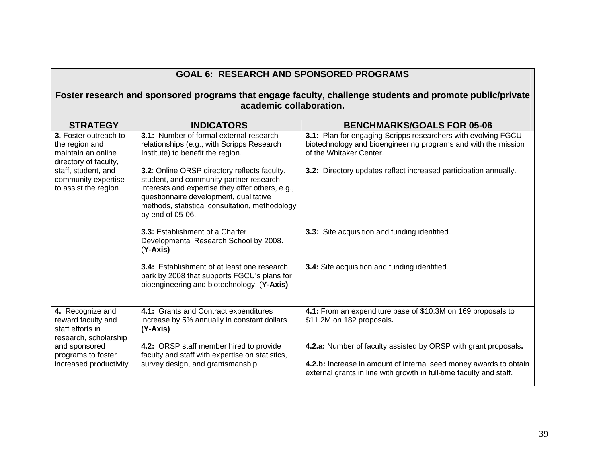#### **GOAL 6: RESEARCH AND SPONSORED PROGRAMS**

#### **Foster research and sponsored programs that engage faculty, challenge students and promote public/private academic collaboration.**

| <b>STRATEGY</b>                                                                        | <b>INDICATORS</b>                                                                                                                                                                                                                                           | <b>BENCHMARKS/GOALS FOR 05-06</b>                                                                                                                          |
|----------------------------------------------------------------------------------------|-------------------------------------------------------------------------------------------------------------------------------------------------------------------------------------------------------------------------------------------------------------|------------------------------------------------------------------------------------------------------------------------------------------------------------|
| 3. Foster outreach to<br>the region and<br>maintain an online<br>directory of faculty, | 3.1: Number of formal external research<br>relationships (e.g., with Scripps Research<br>Institute) to benefit the region.                                                                                                                                  | 3.1: Plan for engaging Scripps researchers with evolving FGCU<br>biotechnology and bioengineering programs and with the mission<br>of the Whitaker Center. |
| staff, student, and<br>community expertise<br>to assist the region.                    | 3.2: Online ORSP directory reflects faculty,<br>student, and community partner research<br>interests and expertise they offer others, e.g.,<br>questionnaire development, qualitative<br>methods, statistical consultation, methodology<br>by end of 05-06. | 3.2: Directory updates reflect increased participation annually.                                                                                           |
|                                                                                        | 3.3: Establishment of a Charter<br>Developmental Research School by 2008.<br>$(Y-Axis)$                                                                                                                                                                     | 3.3: Site acquisition and funding identified.                                                                                                              |
|                                                                                        | <b>3.4:</b> Establishment of at least one research<br>park by 2008 that supports FGCU's plans for<br>bioengineering and biotechnology. (Y-Axis)                                                                                                             | 3.4: Site acquisition and funding identified.                                                                                                              |
| 4. Recognize and<br>reward faculty and<br>staff efforts in<br>research, scholarship    | 4.1: Grants and Contract expenditures<br>increase by 5% annually in constant dollars.<br>(Y-Axis)                                                                                                                                                           | 4.1: From an expenditure base of \$10.3M on 169 proposals to<br>\$11.2M on 182 proposals.                                                                  |
| and sponsored<br>programs to foster                                                    | 4.2: ORSP staff member hired to provide<br>faculty and staff with expertise on statistics,                                                                                                                                                                  | 4.2.a: Number of faculty assisted by ORSP with grant proposals.                                                                                            |
| increased productivity.                                                                | survey design, and grantsmanship.                                                                                                                                                                                                                           | 4.2.b: Increase in amount of internal seed money awards to obtain<br>external grants in line with growth in full-time faculty and staff.                   |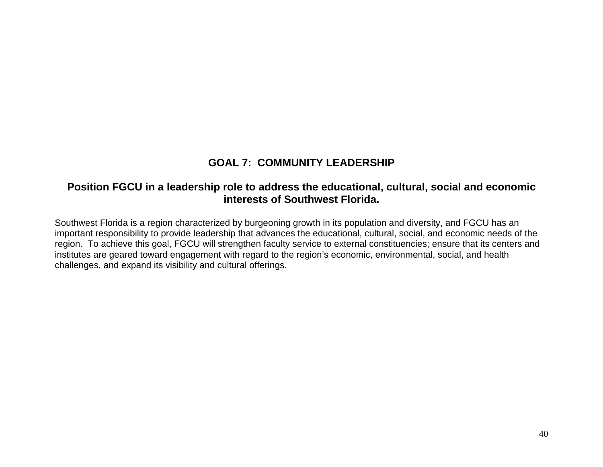#### **Position FGCU in a leadership role to address the educational, cultural, social and economic interests of Southwest Florida.**

Southwest Florida is a region characterized by burgeoning growth in its population and diversity, and FGCU has an important responsibility to provide leadership that advances the educational, cultural, social, and economic needs of the region. To achieve this goal, FGCU will strengthen faculty service to external constituencies; ensure that its centers and institutes are geared toward engagement with regard to the region's economic, environmental, social, and health challenges, and expand its visibility and cultural offerings.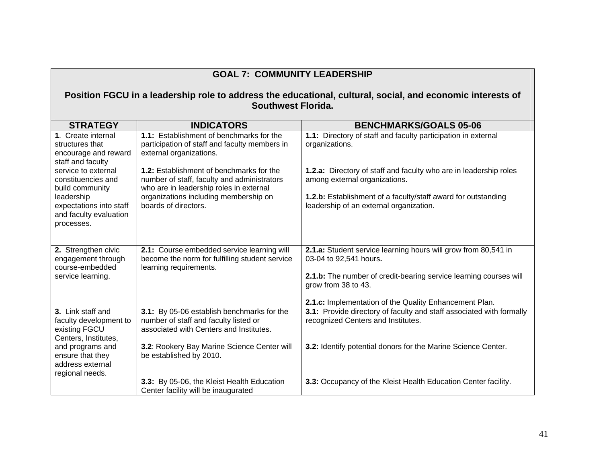| <b>Southwest Florida.</b>                                                          |                                                                                                                                           |                                                                                                                                                                                      |  |
|------------------------------------------------------------------------------------|-------------------------------------------------------------------------------------------------------------------------------------------|--------------------------------------------------------------------------------------------------------------------------------------------------------------------------------------|--|
| <b>STRATEGY</b>                                                                    | <b>INDICATORS</b>                                                                                                                         | <b>BENCHMARKS/GOALS 05-06</b>                                                                                                                                                        |  |
| 1. Create internal<br>structures that<br>encourage and reward<br>staff and faculty | 1.1: Establishment of benchmarks for the<br>participation of staff and faculty members in<br>external organizations.                      | 1.1: Directory of staff and faculty participation in external<br>organizations.                                                                                                      |  |
| service to external<br>constituencies and<br>build community                       | <b>1.2:</b> Establishment of benchmarks for the<br>number of staff, faculty and administrators<br>who are in leadership roles in external | 1.2.a: Directory of staff and faculty who are in leadership roles<br>among external organizations.                                                                                   |  |
| leadership<br>expectations into staff<br>and faculty evaluation<br>processes.      | organizations including membership on<br>boards of directors.                                                                             | 1.2.b: Establishment of a faculty/staff award for outstanding<br>leadership of an external organization.                                                                             |  |
| 2. Strengthen civic<br>engagement through<br>course-embedded<br>service learning.  | 2.1: Course embedded service learning will<br>become the norm for fulfilling student service<br>learning requirements.                    | 2.1.a: Student service learning hours will grow from 80,541 in<br>03-04 to 92,541 hours.<br>2.1.b: The number of credit-bearing service learning courses will<br>grow from 38 to 43. |  |
| 3. Link staff and                                                                  | 3.1: By 05-06 establish benchmarks for the                                                                                                | 2.1.c: Implementation of the Quality Enhancement Plan.<br>3.1: Provide directory of faculty and staff associated with formally                                                       |  |
| faculty development to<br>existing FGCU<br>Centers, Institutes,                    | number of staff and faculty listed or<br>associated with Centers and Institutes.                                                          | recognized Centers and Institutes.                                                                                                                                                   |  |
| and programs and<br>ensure that they<br>address external<br>regional needs.        | 3.2: Rookery Bay Marine Science Center will<br>be established by 2010.                                                                    | 3.2: Identify potential donors for the Marine Science Center.                                                                                                                        |  |
|                                                                                    | 3.3: By 05-06, the Kleist Health Education<br>Center facility will be inaugurated                                                         | 3.3: Occupancy of the Kleist Health Education Center facility.                                                                                                                       |  |

# **Position FGCU in a leadership role to address the educational, cultural, social, and economic interests of**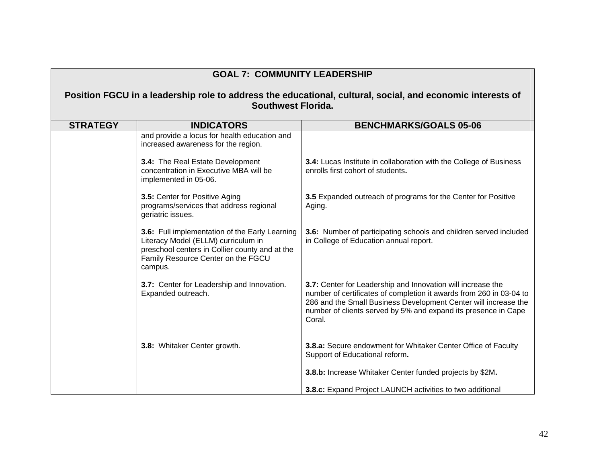#### **Position FGCU in a leadership role to address the educational, cultural, social, and economic interests of Southwest Florida.**

| <b>STRATEGY</b> | <b>INDICATORS</b>                                                                                                                                                                        | <b>BENCHMARKS/GOALS 05-06</b>                                                                                                                                                                                                                                                     |
|-----------------|------------------------------------------------------------------------------------------------------------------------------------------------------------------------------------------|-----------------------------------------------------------------------------------------------------------------------------------------------------------------------------------------------------------------------------------------------------------------------------------|
|                 | and provide a locus for health education and<br>increased awareness for the region.                                                                                                      |                                                                                                                                                                                                                                                                                   |
|                 | 3.4: The Real Estate Development<br>concentration in Executive MBA will be<br>implemented in 05-06.                                                                                      | 3.4: Lucas Institute in collaboration with the College of Business<br>enrolls first cohort of students.                                                                                                                                                                           |
|                 | 3.5: Center for Positive Aging<br>programs/services that address regional<br>geriatric issues.                                                                                           | 3.5 Expanded outreach of programs for the Center for Positive<br>Aging.                                                                                                                                                                                                           |
|                 | 3.6: Full implementation of the Early Learning<br>Literacy Model (ELLM) curriculum in<br>preschool centers in Collier county and at the<br>Family Resource Center on the FGCU<br>campus. | 3.6: Number of participating schools and children served included<br>in College of Education annual report.                                                                                                                                                                       |
|                 | 3.7: Center for Leadership and Innovation.<br>Expanded outreach.                                                                                                                         | 3.7: Center for Leadership and Innovation will increase the<br>number of certificates of completion it awards from 260 in 03-04 to<br>286 and the Small Business Development Center will increase the<br>number of clients served by 5% and expand its presence in Cape<br>Coral. |
|                 | 3.8: Whitaker Center growth.                                                                                                                                                             | 3.8.a: Secure endowment for Whitaker Center Office of Faculty<br>Support of Educational reform.                                                                                                                                                                                   |
|                 |                                                                                                                                                                                          | 3.8.b: Increase Whitaker Center funded projects by \$2M.                                                                                                                                                                                                                          |
|                 |                                                                                                                                                                                          | 3.8.c: Expand Project LAUNCH activities to two additional                                                                                                                                                                                                                         |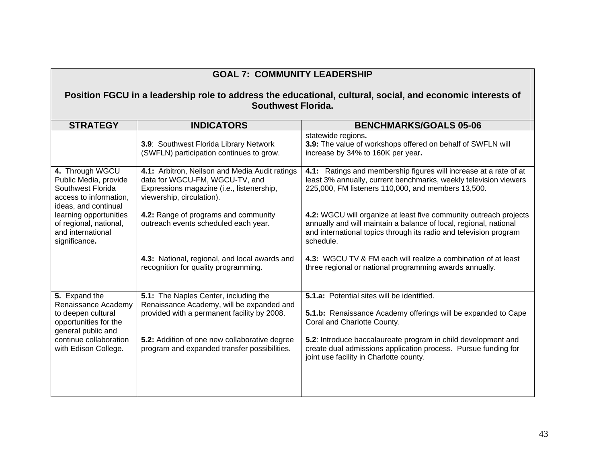#### **Position FGCU in a leadership role to address the educational, cultural, social, and economic interests of Southwest Florida.**

| <b>STRATEGY</b>                                                                                                 | <b>INDICATORS</b>                                                                                                                                          | <b>BENCHMARKS/GOALS 05-06</b>                                                                                                                                                                                            |
|-----------------------------------------------------------------------------------------------------------------|------------------------------------------------------------------------------------------------------------------------------------------------------------|--------------------------------------------------------------------------------------------------------------------------------------------------------------------------------------------------------------------------|
|                                                                                                                 | 3.9: Southwest Florida Library Network<br>(SWFLN) participation continues to grow.                                                                         | statewide regions.<br>3.9: The value of workshops offered on behalf of SWFLN will<br>increase by 34% to 160K per year.                                                                                                   |
| 4. Through WGCU<br>Public Media, provide<br>Southwest Florida<br>access to information,<br>ideas, and continual | 4.1: Arbitron, Neilson and Media Audit ratings<br>data for WGCU-FM, WGCU-TV, and<br>Expressions magazine (i.e., listenership,<br>viewership, circulation). | 4.1: Ratings and membership figures will increase at a rate of at<br>least 3% annually, current benchmarks, weekly television viewers<br>225,000, FM listeners 110,000, and members 13,500.                              |
| learning opportunities<br>of regional, national,<br>and international<br>significance.                          | 4.2: Range of programs and community<br>outreach events scheduled each year.                                                                               | 4.2: WGCU will organize at least five community outreach projects<br>annually and will maintain a balance of local, regional, national<br>and international topics through its radio and television program<br>schedule. |
|                                                                                                                 | 4.3: National, regional, and local awards and<br>recognition for quality programming.                                                                      | 4.3: WGCU TV & FM each will realize a combination of at least<br>three regional or national programming awards annually.                                                                                                 |
| 5. Expand the                                                                                                   | 5.1: The Naples Center, including the                                                                                                                      | <b>5.1.a:</b> Potential sites will be identified.                                                                                                                                                                        |
| Renaissance Academy<br>to deepen cultural<br>opportunities for the<br>general public and                        | Renaissance Academy, will be expanded and<br>provided with a permanent facility by 2008.                                                                   | 5.1.b: Renaissance Academy offerings will be expanded to Cape<br>Coral and Charlotte County.                                                                                                                             |
| continue collaboration<br>with Edison College.                                                                  | 5.2: Addition of one new collaborative degree<br>program and expanded transfer possibilities.                                                              | 5.2: Introduce baccalaureate program in child development and<br>create dual admissions application process. Pursue funding for<br>joint use facility in Charlotte county.                                               |
|                                                                                                                 |                                                                                                                                                            |                                                                                                                                                                                                                          |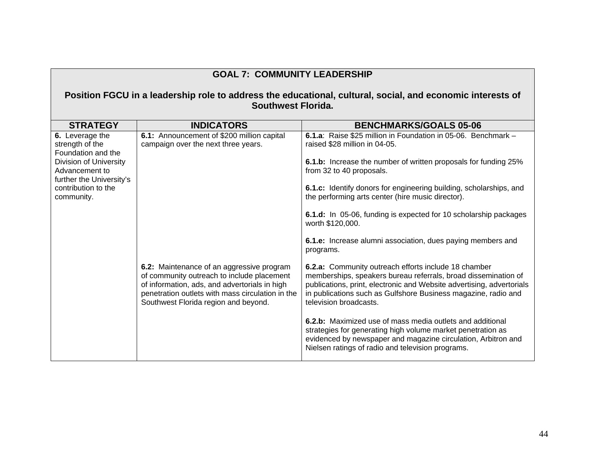| Southwest Florida.                                                   |                                                                                                                                                                                                                                      |                                                                                                                                                                                                                                                                                             |
|----------------------------------------------------------------------|--------------------------------------------------------------------------------------------------------------------------------------------------------------------------------------------------------------------------------------|---------------------------------------------------------------------------------------------------------------------------------------------------------------------------------------------------------------------------------------------------------------------------------------------|
| <b>STRATEGY</b>                                                      | <b>INDICATORS</b>                                                                                                                                                                                                                    | <b>BENCHMARKS/GOALS 05-06</b>                                                                                                                                                                                                                                                               |
| 6. Leverage the<br>strength of the<br>Foundation and the             | 6.1: Announcement of \$200 million capital<br>campaign over the next three years.                                                                                                                                                    | 6.1.a: Raise \$25 million in Foundation in 05-06. Benchmark -<br>raised \$28 million in 04-05.                                                                                                                                                                                              |
| Division of University<br>Advancement to<br>further the University's |                                                                                                                                                                                                                                      | 6.1.b: Increase the number of written proposals for funding 25%<br>from 32 to 40 proposals.                                                                                                                                                                                                 |
| contribution to the<br>community.                                    |                                                                                                                                                                                                                                      | 6.1.c: Identify donors for engineering building, scholarships, and<br>the performing arts center (hire music director).                                                                                                                                                                     |
|                                                                      |                                                                                                                                                                                                                                      | 6.1.d: In 05-06, funding is expected for 10 scholarship packages<br>worth \$120,000.                                                                                                                                                                                                        |
|                                                                      |                                                                                                                                                                                                                                      | 6.1.e: Increase alumni association, dues paying members and<br>programs.                                                                                                                                                                                                                    |
|                                                                      | 6.2: Maintenance of an aggressive program<br>of community outreach to include placement<br>of information, ads, and advertorials in high<br>penetration outlets with mass circulation in the<br>Southwest Florida region and beyond. | 6.2.a: Community outreach efforts include 18 chamber<br>memberships, speakers bureau referrals, broad dissemination of<br>publications, print, electronic and Website advertising, advertorials<br>in publications such as Gulfshore Business magazine, radio and<br>television broadcasts. |
|                                                                      |                                                                                                                                                                                                                                      | 6.2.b: Maximized use of mass media outlets and additional<br>strategies for generating high volume market penetration as<br>evidenced by newspaper and magazine circulation, Arbitron and<br>Nielsen ratings of radio and television programs.                                              |

# **Position FGCU in a leadership role to address the educational, cultural, social, and economic interests of Southwest Florida.**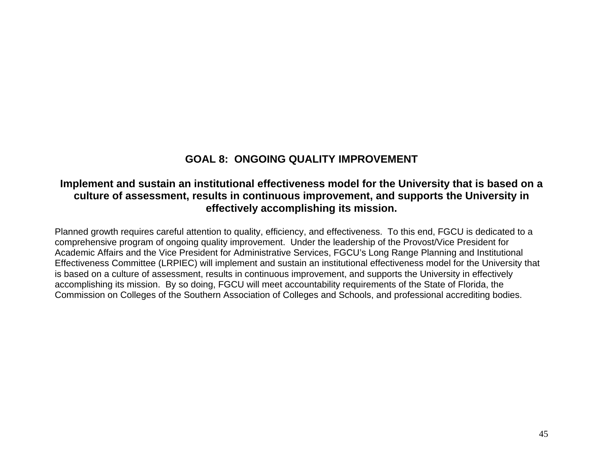# **GOAL 8: ONGOING QUALITY IMPROVEMENT**

#### **Implement and sustain an institutional effectiveness model for the University that is based on a culture of assessment, results in continuous improvement, and supports the University in effectively accomplishing its mission.**

Planned growth requires careful attention to quality, efficiency, and effectiveness. To this end, FGCU is dedicated to a comprehensive program of ongoing quality improvement. Under the leadership of the Provost/Vice President for Academic Affairs and the Vice President for Administrative Services, FGCU's Long Range Planning and Institutional Effectiveness Committee (LRPIEC) will implement and sustain an institutional effectiveness model for the University that is based on a culture of assessment, results in continuous improvement, and supports the University in effectively accomplishing its mission. By so doing, FGCU will meet accountability requirements of the State of Florida, the Commission on Colleges of the Southern Association of Colleges and Schools, and professional accrediting bodies.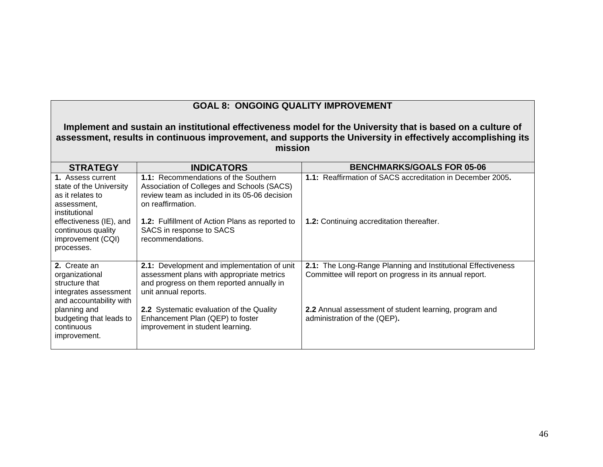| <b>GOAL 8: ONGOING QUALITY IMPROVEMENT</b>                                                                                                                                                                                            |                                                                                                                                                               |                                                                                                                         |
|---------------------------------------------------------------------------------------------------------------------------------------------------------------------------------------------------------------------------------------|---------------------------------------------------------------------------------------------------------------------------------------------------------------|-------------------------------------------------------------------------------------------------------------------------|
| Implement and sustain an institutional effectiveness model for the University that is based on a culture of<br>assessment, results in continuous improvement, and supports the University in effectively accomplishing its<br>mission |                                                                                                                                                               |                                                                                                                         |
| <b>STRATEGY</b>                                                                                                                                                                                                                       | <b>INDICATORS</b>                                                                                                                                             | <b>BENCHMARKS/GOALS FOR 05-06</b>                                                                                       |
| 1. Assess current<br>state of the University<br>as it relates to<br>assessment.<br>institutional                                                                                                                                      | 1.1: Recommendations of the Southern<br>Association of Colleges and Schools (SACS)<br>review team as included in its 05-06 decision<br>on reaffirmation.      | 1.1: Reaffirmation of SACS accreditation in December 2005.                                                              |
| effectiveness (IE), and<br>continuous quality<br>improvement (CQI)<br>processes.                                                                                                                                                      | <b>1.2:</b> Fulfillment of Action Plans as reported to<br>SACS in response to SACS<br>recommendations.                                                        | <b>1.2:</b> Continuing accreditation thereafter.                                                                        |
| 2. Create an<br>organizational<br>structure that<br>integrates assessment<br>and accountability with                                                                                                                                  | 2.1: Development and implementation of unit<br>assessment plans with appropriate metrics<br>and progress on them reported annually in<br>unit annual reports. | 2.1: The Long-Range Planning and Institutional Effectiveness<br>Committee will report on progress in its annual report. |
| planning and<br>budgeting that leads to<br>continuous<br>improvement.                                                                                                                                                                 | 2.2 Systematic evaluation of the Quality<br>Enhancement Plan (QEP) to foster<br>improvement in student learning.                                              | 2.2 Annual assessment of student learning, program and<br>administration of the (QEP).                                  |

 $\mathsf{L}$ 

┑